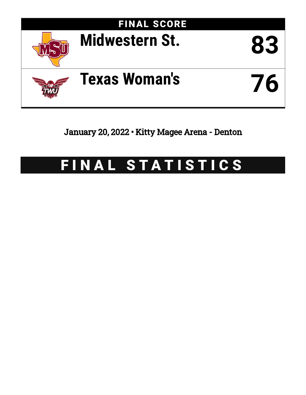

January 20, 2022 • Kitty Magee Arena - Denton

# FINAL STATISTICS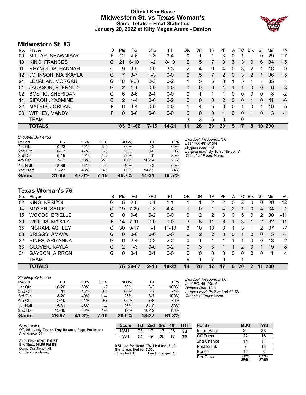# **Official Box Score Midwestern St. vs Texas Woman's Game Totals -- Final Statistics January 20, 2022 at Kitty Magee Arena - Denton**



# **Midwestern St. 83**

| No. | Plaver                   | S  | Pts           | FG        | 3FG      | FT       | OR             | DR       | TR | PF            | A            | TO       | <b>B</b> lk | Stl      | Min | $+/-$ |
|-----|--------------------------|----|---------------|-----------|----------|----------|----------------|----------|----|---------------|--------------|----------|-------------|----------|-----|-------|
| 00  | MILLAR, SHAWNISAY        | F. | 12            | 4-6       | $1 - 3$  | $3 - 4$  | 0              |          |    | 3             | 0            |          |             | 0        | 29  | 17    |
| 10  | <b>KING, FRANCES</b>     | G  | 21            | $6 - 10$  | $1 - 2$  | $8 - 10$ | $\overline{2}$ | 5        |    | 3             | 3            | 3        | $\Omega$    | 6        | 34  | 15    |
| 11  | REYNOLDS, HANNAH         | С  | 9             | $3 - 5$   | $0 - 0$  | $3 - 3$  | 2              | 4        | 6  | 4             | 0            | 3        | 2           | 1        | 18  | 9     |
| 12  | JOHNSON, MARKAYLA        | G  | 7             | $3 - 7$   | $1 - 3$  | $0 - 0$  | 2              | 5        | 7  | $\mathcal{P}$ | $\mathbf{0}$ | 3        | 2           |          | 36  | 15    |
| 24  | LENAHAN, MORGAN          | G  | 18            | $8 - 23$  | $2 - 3$  | $0 - 2$  |                | 5        | 6  | 3             |              | 5        |             |          | 35  | 1     |
| 01  | <b>JACKSON, ETERNITY</b> | G  | $\mathcal{P}$ | $1 - 1$   | $0 - 0$  | $0 - 0$  | 0              | $\Omega$ | 0  |               |              | 1        | $\Omega$    | $\Omega$ | 6   | -8    |
| 02  | <b>BOSTIC, SHERIDAN</b>  | G  | 6             | $2-6$     | $2 - 4$  | $0 - 0$  | 0              |          |    |               | 0            | 0        | $\Omega$    | $\Omega$ | 8   | $-2$  |
| 14  | SIFAOUI, YASMINE         | C  | $\mathcal{P}$ | $1 - 4$   | $0 - 0$  | $0 - 2$  | 0              | 0        | 0  | 2             | 0            | 0        |             | 0        | 11  | -6    |
| 22  | <b>MATHIS, JORDAN</b>    | F  | 6             | $3 - 4$   | $0 - 0$  | $0 - 0$  |                | 4        | 5  | 0             | 0            |          | 0           |          | 19  | -5    |
| 23  | <b>WITHEY, MANDY</b>     | F  | 0             | $0 - 0$   | $0 - 0$  | $0 - 0$  | 0              | $\Omega$ | 0  |               | 0            | $\Omega$ |             | 0        | 3   | $-1$  |
|     | TEAM                     |    |               |           |          |          | 3              | 3        | 6  | 0             |              | 0        |             |          |     |       |
|     | <b>TOTALS</b>            |    | 83            | $31 - 66$ | $7 - 15$ | 14-21    | 11             | 28       | 39 | 20            | 5            | 17       | 8           | 10       | 200 |       |

| <b>Shooting By Period</b> |           |       |          |       |           |       |
|---------------------------|-----------|-------|----------|-------|-----------|-------|
| Period                    | FG        | FG%   | 3FG      | 3FG%  | FT        | FT%   |
| 1st Qtr                   | $10 - 22$ | 45%   | $3-5$    | 60%   | $0 - 2$   | 00%   |
| 2nd Qtr                   | $8 - 17$  | 47%   | $1 - 5$  | 20%   | $0 - 0$   | $0\%$ |
| 3rd Qtr                   | $6 - 15$  | 40%   | $1 - 2$  | 50%   | $4 - 5$   | 80%   |
| 4th Qtr                   | $7-12$    | 58%   | $2 - 3$  | 67%   | $10 - 14$ | 71%   |
| 1st Half                  | 18-39     | 46%   | $4 - 10$ | 40%   | $0 - 2$   | 00%   |
| 2nd Half                  | $13 - 27$ | 48%   | $3-5$    | 60%   | 14-19     | 74%   |
| Game                      | $31 - 66$ | 47.0% | 7-15     | 46.7% | $14 - 21$ | 66.7% |

*Deadball Rebounds:* 3,0 *Last FG:* 4th-01:04 *Biggest Run:* 7-0 *Largest lead:* By 10 at 4th-00:47 *Technical Fouls:* None.

# **Texas Woman's 76**

|     | <b>TOTALS</b>         |    | 76            | 28-67    | $2 - 10$ | $18 - 22$ | 14 | 28 | 42       | 17       | 6 | 20 | 2           |               | <b>200</b> |       |
|-----|-----------------------|----|---------------|----------|----------|-----------|----|----|----------|----------|---|----|-------------|---------------|------------|-------|
|     | TEAM                  |    |               |          |          |           | 6  |    |          | $\Omega$ |   |    |             |               |            |       |
| 34  | <b>GAYDON, AIRRON</b> | G  | 0             | $0 - 1$  | $0 - 1$  | $0 - 0$   | 0  | 0  | $\Omega$ | 0        | 0 | 0  | $\Omega$    | 0             |            | 4     |
| 33  | <b>GLOVER, KAYLA</b>  | G  | $\mathcal{P}$ | $1 - 3$  | $0 - 0$  | $0 - 2$   | 0  | 3  | 3        |          |   | 2  | $\Omega$    |               | 19         | 8     |
| 22  | HINES, ARIYANNA       | G  | 6             | $2 - 4$  | $0 - 2$  | $2 - 2$   | 0  |    |          |          |   |    | 0           | 0             | 13         | 2     |
| 03  | <b>BRIGGS, AMAYA</b>  | G  | 0             | $0 - 0$  | $0 - 0$  | $0 - 0$   | 0  | 2  | 2        | 0        | 0 |    | $\Omega$    | 0             | 5          | $-1$  |
| 35  | <b>INGRAM, ASHLEY</b> | G  | 30            | $9 - 17$ | 1-1      | $11 - 13$ | 3  | 10 | 13       | 3        | 1 | 3  |             | 2             | 37         | $-7$  |
| 20  | WOODS, MA'K'LA        | F. | 14            | $7 - 11$ | $0 - 0$  | $0 - 0$   | 3  | 8  | 11       | 3        |   | 3  |             | $\mathcal{P}$ | 32         | $-11$ |
| 15  | <b>WOODS, BRIELLE</b> | G  | 0             | $0 - 6$  | $0 - 2$  | $0 - 0$   | 0  | 2  | 2        | 3        | 0 | 5  | 0           | 2             | 30         | $-11$ |
| 14  | MOYER, SADIE          | G  | 19            | $7 - 20$ | 1-3      | $4 - 4$   |    | 0  |          | 4        | 2 |    | 0           | 4             | 34         | $-1$  |
| 02  | KING, KESLYN          | G  | 5             | $2 - 5$  | 0-1      | 1-1       |    |    | 2        | 2        | 0 | 3  | 0           |               | 29         | $-18$ |
| No. | Player                | S  | Pts           | FG       | 3FG      | FТ        | 0R | DR | TR       | PF       | A | то | <b>B</b> lk | Stl           | Min        | $+/-$ |

| <b>Shooting By Period</b> |           |       |          |       |           |       |
|---------------------------|-----------|-------|----------|-------|-----------|-------|
| Period                    | FG        | FG%   | 3FG      | 3FG%  | FT        | FT%   |
| 1st Qtr                   | $10 - 20$ | 50%   | $1 - 2$  | 50%   | $3-3$     | 100%  |
| 2nd Qtr                   | $5 - 11$  | 45%   | $0 - 2$  | 00%   | $5 - 7$   | 71%   |
| 3rd Qtr                   | $8 - 20$  | 40%   | $1 - 4$  | 25%   | $3-3$     | 100%  |
| 4th Qtr                   | $5 - 16$  | 31%   | $0 - 2$  | 00%   | $7-9$     | 78%   |
| 1st Half                  | $15 - 31$ | 48%   | $1 - 4$  | 25%   | $8 - 10$  | 80%   |
| 2nd Half                  | 13-36     | 36%   | $1-6$    | 17%   | $10 - 12$ | 83%   |
| Game                      | 28-67     | 41.8% | $2 - 10$ | 20.0% | $18 - 22$ | 81.8% |

*Deadball Rebounds:* 1,0 *Last FG:* 4th-00:15 *Biggest Run:* 10-0 *Largest lead:* By 6 at 2nd-03:58 *Technical Fouls:* None.

| Game Notes:                                                            | <b>Score</b>                              |    | 1st 2nd | 3rd              | 4th | <b>TOT</b> | <b>Points</b> | <b>MSU</b>     | <b>TWU</b>     |
|------------------------------------------------------------------------|-------------------------------------------|----|---------|------------------|-----|------------|---------------|----------------|----------------|
| Officials: Jody Taylor, Trey Bowers, Page Parliment<br>Attendance: 314 | <b>MSU</b>                                | 23 |         |                  | 26  | 83         | In the Paint  | 32             | 38             |
|                                                                        | TWU                                       | 24 | 15      | 20               |     | 76         | Off Turns     | 22             | 16             |
| Start Time: 07:07 PM ET                                                |                                           |    |         |                  |     |            | 2nd Chance    | 14             |                |
| End Time: 08:55 PM ET<br>Game Duration: 1:48                           | MSU led for 14:08. TWU led for 18:19.     |    |         |                  |     |            | Fast Break    |                | 13             |
| Conference Game;                                                       | Game was tied for 7:33.<br>Times tied: 10 |    |         | Lead Changes: 13 |     |            | Bench         | 16             |                |
|                                                                        |                                           |    |         |                  |     |            | Per Poss      | 1.025<br>38/81 | 0.894<br>37/85 |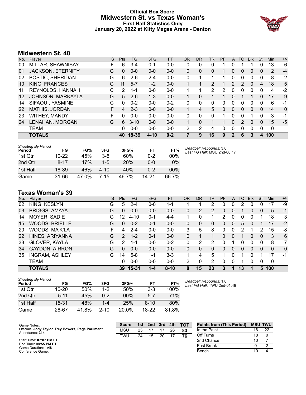# **Official Box Score Midwestern St. vs Texas Woman's First Half Statistics Only January 20, 2022 at Kitty Magee Arena - Denton**



# **Midwestern St. 40**

| No. | Plaver                   | S | <b>Pts</b> | FG       | 3FG      | <b>FT</b> | <b>OR</b> | <b>DR</b> | TR | PF       | A              | TO            | <b>Blk</b> | Stl | <b>Min</b> | $+/-$ |
|-----|--------------------------|---|------------|----------|----------|-----------|-----------|-----------|----|----------|----------------|---------------|------------|-----|------------|-------|
| 00  | MILLAR, SHAWNISAY        | F | 6          | $3 - 4$  | $0 - 1$  | $0-0$     | 0         | 0         | 0  |          | 0              |               |            | 0   | 13         | 6     |
| 01  | <b>JACKSON, ETERNITY</b> | G | 0          | $0 - 0$  | $0 - 0$  | $0 - 0$   | 0         | 0         | 0  |          | 0              | 0             | 0          | 0   | 2          | $-4$  |
| 02  | <b>BOSTIC, SHERIDAN</b>  | G | 6          | $2 - 6$  | $2 - 4$  | $0-0$     | 0         | 1         |    | 1        | 0              | 0             | 0          | 0   | 8          | $-2$  |
| 10  | <b>KING, FRANCES</b>     | G | 11         | $5 - 7$  | $1 - 2$  | $0 - 0$   |           |           | 2  | 1        | $\overline{2}$ | $\mathcal{P}$ | $\Omega$   | 4   | 18         | 5     |
| 11  | <b>REYNOLDS, HANNAH</b>  | C | 2          | $1 - 1$  | $0 - 0$  | $0 - 0$   |           | 4         | 2  | 2        | 0              | $\Omega$      | $\Omega$   | 0   | 4          | -2    |
| 12  | JOHNSON, MARKAYLA        | G | 5          | $2-6$    | $1 - 3$  | $0 - 0$   |           | 0         |    | 1        | 0              | 1             |            | 0   | 17         | 9     |
| 14  | SIFAOUI, YASMINE         | C | 0          | $0 - 2$  | $0 - 0$  | $0 - 2$   | 0         | 0         | 0  | $\Omega$ | 0              | 0             | 0          | 0   | 6          | -1    |
| 22  | <b>MATHIS, JORDAN</b>    | F | 4          | $2 - 3$  | $0 - 0$  | $0 - 0$   | 1         | 4         | 5. | $\Omega$ | 0              | $\Omega$      | $\Omega$   | 0   | 14         | 0     |
| 23  | <b>WITHEY, MANDY</b>     | F | 0          | $0 - 0$  | $0 - 0$  | $0 - 0$   | 0         | 0         | 0  | 1        | 0              | 0             |            | 0   | 3          | -1    |
| 24  | LENAHAN, MORGAN          | G | 6          | $3 - 10$ | $0 - 0$  | $0 - 0$   |           | $\Omega$  |    |          | 0              | 2             | $\Omega$   | 0   | 15         | $-5$  |
|     | <b>TEAM</b>              |   | 0          | $0 - 0$  | $0 - 0$  | $0 - 0$   | 2         | 2         | 4  | 0        | 0              | 0             | $\Omega$   | 0   | 0          |       |
|     | <b>TOTALS</b>            |   | 40         | 18-39    | $4 - 10$ | $0 - 2$   |           | 9         | 16 | 9        | 2              | 6             | 3          | 4   | 100        |       |

| <b>Shooting By Period</b><br>Period | FG       | FG%   | 3FG      | 3FG%  | FТ      | FT%    |
|-------------------------------------|----------|-------|----------|-------|---------|--------|
| 1st Otr                             | 10-22    | 45%   | $3-5$    | 60%   | $0 - 2$ | 00%    |
| 2nd Otr                             | $8 - 17$ | 47%   | $1-5$    | 20%   | $0 - 0$ | $0\%$  |
| 1st Half                            | 18-39    | 46%   | $4 - 10$ | 40%   | $0 - 2$ | $00\%$ |
| Game                                | 31-66    | 47.0% | 7-15     | 46.7% | 14-21   | 66.7%  |

*Deadball Rebounds:* 3,0 *Last FG Half:* MSU 2nd-00:17

# **Texas Woman's 39**

| No. | Plaver                | S  | Pts           | FG       | 3FG     | <b>FT</b> | <b>OR</b> | DR       | <b>TR</b> | PF | A | TO       | <b>B</b> lk | Stl      | Min          | $+/-$        |
|-----|-----------------------|----|---------------|----------|---------|-----------|-----------|----------|-----------|----|---|----------|-------------|----------|--------------|--------------|
| 02  | KING, KESLYN          | G  | 5             | $2 - 4$  | $0 - 0$ | 1-1       |           |          | 2         | 0  | 0 | 2        | 0           | 0        | 17           | -9           |
| 03  | <b>BRIGGS, AMAYA</b>  | G  | 0             | $0 - 0$  | $0 - 0$ | $0 - 0$   | 0         | 2        | 2         | 0  | 0 | 1        | 0           | $\Omega$ | 5            | $-1$         |
| 14  | MOYER, SADIE          | G  | 12            | $4 - 10$ | $0 - 1$ | $4 - 4$   |           | 0        |           | 2  | 0 | 0        | 0           |          | 18           | 3            |
| 15  | WOODS, BRIELLE        | G  | 0             | $0 - 2$  | $0 - 1$ | $0 - 0$   | 0         | 0        | 0         | 0  | 0 | 5        | 0           |          | 17           | $-2$         |
| 20  | WOODS, MA'K'LA        | F. | 4             | $2 - 4$  | $0 - 0$ | $0-0$     | 3         | 5        | 8         | 0  | 0 | 2        |             | 2        | 15           | -8           |
| 22  | HINES, ARIYANNA       | G  | $\mathcal{P}$ | $1 - 2$  | $0 - 1$ | $0 - 0$   | 0         |          |           | 0  | 0 |          | 0           | 0        | 3            | 6            |
| 33  | GLOVER, KAYLA         | G  | 2             | 1-1      | $0 - 0$ | $0 - 2$   | 0         | 2        | 2         | 0  |   | 0        | 0           | $\Omega$ | 8            | 7            |
| 34  | <b>GAYDON, AIRRON</b> | G  | 0             | $0 - 0$  | $0 - 0$ | $0 - 0$   | 0         | 0        | $\Omega$  | 0  | 0 | $\Omega$ | 0           | $\Omega$ | $\mathbf{0}$ | $\mathbf{0}$ |
| 35  | <b>INGRAM, ASHLEY</b> | G  | 14            | $5-8$    | 1-1     | $3 - 3$   | 1         | 4        | 5         |    | 0 | 1        | 0           |          | 17           | -1           |
|     | <b>TEAM</b>           |    | 0             | $0 - 0$  | $0 - 0$ | $0 - 0$   | 2         | $\Omega$ | 2         | 0  | 0 | 1        | 0           | $\Omega$ | 0            |              |
|     | <b>TOTALS</b>         |    | 39            | 15-31    | 1-4     | $8 - 10$  | 8         | 15       | 23        | 3  |   | 13       |             | 5        | 100          |              |

| <b>Shooting By Period</b><br>Period | FG       | FG%   | 3FG      | 3FG%     | FТ       | FT%   |
|-------------------------------------|----------|-------|----------|----------|----------|-------|
| 1st Otr                             | 10-20    | 50%   | 1-2      | 50%      | $3-3$    | 100%  |
| 2nd Otr                             | $5 - 11$ | 45%   | $0 - 2$  | 00%      | $5-7$    | 71%   |
| 1st Half                            | 15-31    | 48%   | 1-4      | 25%      | $8 - 10$ | 80%   |
| Game                                | 28-67    | 41.8% | $2 - 10$ | $20.0\%$ | 18-22    | 81.8% |

*Deadball Rebounds:* 1,0 *Last FG Half:* TWU 2nd-01:49

| Game Notes:                                                            | <b>Score</b> | 1st | 2 <sub>nd</sub> | 3rd | 4th | <b>TOT</b> | <b>Points from (This Period)</b> | <b>MSU TWU</b> |    |
|------------------------------------------------------------------------|--------------|-----|-----------------|-----|-----|------------|----------------------------------|----------------|----|
| Officials: Jody Taylor, Trey Bowers, Page Parliment<br>Attendance: 314 | <b>MSU</b>   | 23  |                 |     | 26  | 83         | In the Paint                     |                | 22 |
|                                                                        | <b>TWU</b>   | 24  | 15              | 20  |     | 76         | Off Turns                        | 18             |    |
| Start Time: 07:07 PM ET                                                |              |     |                 |     |     |            | 2nd Chance                       | 10             |    |
| End Time: 08:55 PM ET<br>Game Duration: 1:48                           |              |     |                 |     |     |            | Fast Break                       |                |    |
| Conference Game;                                                       |              |     |                 |     |     |            | Bench                            | 10             |    |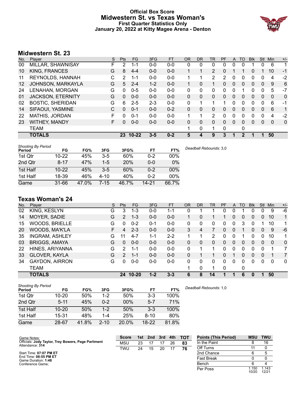# **Official Box Score Midwestern St. vs Texas Woman's First Quarter Statistics Only January 20, 2022 at Kitty Magee Arena - Denton**



# **Midwestern St. 23**

| No. | Plaver                   | S | <b>Pts</b>      | <b>FG</b> | 3FG     | <b>FT</b> | 0R           | <b>DR</b> | TR             | <b>PF</b> | A        | TO       | <b>B</b> lk | Stl      | Min | $+/-$ |
|-----|--------------------------|---|-----------------|-----------|---------|-----------|--------------|-----------|----------------|-----------|----------|----------|-------------|----------|-----|-------|
| 00  | MILLAR, SHAWNISAY        | F | 2               | 1-1       | $0 - 0$ | $0 - 0$   | 0            | 0         | 0              | 0         | 0        |          |             | 0        | 6   |       |
| 10  | KING, FRANCES            | G | 8               | $4 - 4$   | $0 - 0$ | $0 - 0$   | $\mathbf{1}$ |           | $\overline{2}$ | $\Omega$  |          |          | 0           |          | 10  | $-1$  |
| 11  | REYNOLDS, HANNAH         | C | 2               | $1 - 1$   | $0 - 0$ | $0 - 0$   | 1            |           | 2              | 2         | 0        | 0        | 0           | 0        | 4   | $-2$  |
| 12  | JOHNSON, MARKAYLA        | G | 5               | $2 - 4$   | $1 - 2$ | $0 - 0$   | 1            | 0         | 1.             | $\Omega$  | $\Omega$ | $\Omega$ | 0           | $\Omega$ | 9   | 6     |
| 24  | LENAHAN, MORGAN          | G | 0               | $0 - 5$   | $0 - 0$ | $0 - 0$   | 0            | 0         | 0              | 0         | 0        |          | 0           | 0        | 5   | $-7$  |
| 01  | <b>JACKSON, ETERNITY</b> | G | $\mathbf{0}$    | $0 - 0$   | $0 - 0$ | $0 - 0$   | 0            | 0         | 0              | $\Omega$  | 0        | 0        | 0           | $\Omega$ | 0   | 0     |
| 02  | <b>BOSTIC, SHERIDAN</b>  | G | 6               | $2 - 5$   | $2 - 3$ | $0 - 0$   | 0            |           |                | 1         | $\Omega$ | 0        | 0           | 0        | 6   | -1    |
| 14  | SIFAOUI, YASMINE         | C | 0               | $0 - 1$   | $0 - 0$ | $0 - 2$   | 0            | 0         | 0              | 0         | $\Omega$ | 0        | 0           | 0        | 6   | 1     |
| 22  | MATHIS, JORDAN           | F | 0               | $0 - 1$   | $0 - 0$ | $0 - 0$   | 1            | 1         | 2              | 0         | 0        | 0        | 0           | 0        | 4   | $-2$  |
| 23  | <b>WITHEY, MANDY</b>     | F | 0               | $0 - 0$   | $0 - 0$ | $0 - 0$   | $\Omega$     | 0         | 0              | $\Omega$  | $\Omega$ | 0        | $\Omega$    | 0        | 0   | 0     |
|     | <b>TEAM</b>              |   |                 |           |         |           |              | 0         | 1              | $\Omega$  |          | 0        |             |          |     |       |
|     | <b>TOTALS</b>            |   | 23 <sub>2</sub> | $10 - 22$ | $3 - 5$ | $0 - 2$   | 5            | 4         | 9              | 3         |          | 2        |             |          | 50  |       |
|     |                          |   |                 |           |         |           |              |           |                |           |          |          |             |          |     |       |

| <b>Shooting By Period</b><br>Period | FG        | FG%   | 3FG      | 3FG%       | FT        | FT%   | Deadball Rebounds: 3,0 |
|-------------------------------------|-----------|-------|----------|------------|-----------|-------|------------------------|
| 1st Qtr                             | $10 - 22$ | 45%   | $3-5$    | 60%        | $0 - 2$   | 00%   |                        |
| 2nd Qtr                             | $8 - 17$  | 47%   | $1-5$    | <b>20%</b> | $0 - 0$   | 0%    |                        |
| 1st Half                            | $10 - 22$ | 45%   | $3 - 5$  | 60%        | 0-2       | 00%   |                        |
| 1st Half                            | 18-39     | 46%   | $4 - 10$ | 40%        | $0 - 2$   | 00%   |                        |
| Game                                | 31-66     | 47.0% | 7-15     | 46.7%      | $14 - 21$ | 66.7% |                        |

# **Texas Woman's 24**

| No. | Plaver                | S. | Pts           | <b>FG</b> | 3FG     | <b>FT</b> | OR | <b>DR</b> | TR           | PF | A              | TO       | <b>Blk</b> | Stl      | Min | $+/-$        |
|-----|-----------------------|----|---------------|-----------|---------|-----------|----|-----------|--------------|----|----------------|----------|------------|----------|-----|--------------|
| 02  | KING, KESLYN          | G  | 3             | $1 - 3$   | $0 - 0$ | $1 - 1$   | 0  |           |              | 0  | 0              |          | 0          | 0        | 9   | -6           |
| 14  | MOYER, SADIE          | G  | 2             | $1 - 3$   | $0 - 0$ | $0-0$     |    | 0         |              |    | 0              | $\Omega$ | 0          | 0        | 10  | $\mathbf{1}$ |
| 15  | <b>WOODS, BRIELLE</b> | G  | 0             | $0 - 2$   | $0 - 1$ | $0-0$     | 0  | 0         | $\mathbf{0}$ | 0  | 0              | 3        | 0          |          | 10  | 1.           |
| 20  | WOODS, MA'K'LA        | F. | 4             | $2 - 3$   | $0 - 0$ | $0-0$     | 3  | 4         | 7            | 0  | $\mathbf{0}$   |          | 0          | $\Omega$ | 9   | -6           |
| 35  | <b>INGRAM, ASHLEY</b> | G  | 11            | $4 - 7$   | $1 - 1$ | $2 - 2$   |    |           | 2            | 0  | 0              |          | 0          | 0        | 10  | 1            |
| 03  | <b>BRIGGS, AMAYA</b>  | G  | 0             | $0 - 0$   | $0 - 0$ | $0 - 0$   | 0  | 0         | 0            | 0  | $\overline{0}$ | $\Omega$ | 0          | $\Omega$ | 0   | $\mathbf{0}$ |
| 22  | HINES, ARIYANNA       | G  | $\mathcal{P}$ | 1-1       | $0 - 0$ | $0-0$     | 0  |           | 1.           | 0  | 0              |          | 0          | 0        |     | 7            |
| 33  | <b>GLOVER, KAYLA</b>  | G  | 2             | 1-1       | $0 - 0$ | $0 - 0$   | 0  |           |              | 0  |                | $\Omega$ | 0          | $\Omega$ |     | 7            |
| 34  | <b>GAYDON, AIRRON</b> | G  | 0             | $0 - 0$   | $0 - 0$ | $0-0$     | 0  | 0         | $\Omega$     | 0  | $\Omega$       | 0        | 0          | 0        | 0   | $\mathbf{0}$ |
|     | TEAM                  |    |               |           |         |           |    | 0         | 1.           | 0  |                | 0        |            |          |     |              |
|     | <b>TOTALS</b>         |    | 24            | $10 - 20$ | $1 - 2$ | $3 - 3$   | 6  | 8         | 14           |    |                | 6        | 0          |          | 50  |              |

| <b>Shooting By Period</b><br>Period | FG        | FG%   | 3FG      | 3FG%   | FT       | FT%   | Deadball Re |
|-------------------------------------|-----------|-------|----------|--------|----------|-------|-------------|
| 1st Qtr                             | $10 - 20$ | 50%   | $1-2$    | 50%    | $3-3$    | 100%  |             |
| 2nd Qtr                             | $5 - 11$  | 45%   | $0 - 2$  | $00\%$ | $5 - 7$  | 71%   |             |
| 1st Half                            | $10 - 20$ | 50%   | $1 - 2$  | 50%    | $3 - 3$  | 100%  |             |
| 1st Half                            | 15-31     | 48%   | $1 - 4$  | 25%    | $8 - 10$ | 80%   |             |
| Game                                | 28-67     | 41.8% | $2 - 10$ | 20.0%  | $18-22$  | 81.8% |             |

Game Notes: Officials: **Jody Taylor, Trey Bowers, Page Parliment** Attendance: **314** Start Time: **07:07 PM ET** End Time: **08:55 PM ET** Game Duration: **1:48** Conference Game; **Score 1st 2nd 3rd 4th TOT** MSU 23 17 17 26 **83** TWU 24 15 20 17 **76 Points (This Period) MSU TWU**<br>In the Paint 8 16 In the Paint Off Turns 11 0 2nd Chance 6 5 Fast Break 0 0 0 Bench 6 4 Per Poss 1.150<br>10/20 1.143 12/21

*Deadball Rebounds:* 1,0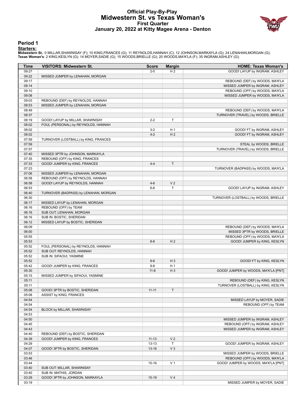# **Official Play-By-Play Midwestern St. vs Texas Woman's First Quarter January 20, 2022 at Kitty Magee Arena - Denton**



#### **Period 1**

<mark>Starters:</mark><br>Midwestern St.: 0 MILLAR,SHAWNISAY (F); 10 KING,FRANCES (G); 11 REYNOLDS,HANNAH (C); 12 JOHNSON,MARKAYLA (G); 24 LENAHAN,MORGAN (G);<br>Texas Woman's: 2 KING,KESLYN (G); 14 MOYER,SADIE (G); 15 WOODS,BRIELLE (G); 2

| Time           | VISITORS: Midwestern St.                                         | <b>Score</b> | <b>Margin</b>                    | <b>HOME: Texas Woman's</b>            |
|----------------|------------------------------------------------------------------|--------------|----------------------------------|---------------------------------------|
| 09:27          |                                                                  | $2 - 0$      | H <sub>2</sub>                   | GOOD! LAYUP by INGRAM, ASHLEY         |
| 09:22          | MISSED JUMPER by LENAHAN, MORGAN                                 |              |                                  |                                       |
| 09:17          |                                                                  |              |                                  | REBOUND (DEF) by WOODS, MA'K'LA       |
| 09:14          |                                                                  |              |                                  | MISSED JUMPER by INGRAM, ASHLEY       |
| 09:10          |                                                                  |              |                                  | REBOUND (OFF) by WOODS, MA'K'LA       |
| 09:08          |                                                                  |              |                                  | MISSED JUMPER by WOODS, MA'K'LA       |
| 09:03          | REBOUND (DEF) by REYNOLDS, HANNAH                                |              |                                  |                                       |
| 08:53          | MISSED JUMPER by LENAHAN, MORGAN                                 |              |                                  |                                       |
| 08:49          |                                                                  |              |                                  | REBOUND (DEF) by WOODS, MA'K'LA       |
| 08:37          |                                                                  |              |                                  | TURNOVER (TRAVEL) by WOODS, BRIELLE   |
| 08:19          | GOOD! LAYUP by MILLAR, SHAWNISAY                                 | $2 - 2$      | T                                |                                       |
| 08:02          | FOUL (PERSONAL) by REYNOLDS, HANNAH                              |              |                                  |                                       |
| 08:02          |                                                                  | $3 - 2$      | H <sub>1</sub><br>H <sub>2</sub> | GOOD! FT by INGRAM, ASHLEY            |
| 08:02<br>07:59 | TURNOVER (LOSTBALL) by KING, FRANCES                             | $4 - 2$      |                                  | GOOD! FT by INGRAM, ASHLEY            |
| 07:59          |                                                                  |              |                                  | STEAL by WOODS, BRIELLE               |
| 07:57          |                                                                  |              |                                  | TURNOVER (TRAVEL) by WOODS, BRIELLE   |
| 07:40          | MISSED 3PTR by JOHNSON, MARKAYLA                                 |              |                                  |                                       |
| 07:35          | REBOUND (OFF) by KING, FRANCES                                   |              |                                  |                                       |
| 07:33          | GOOD! JUMPER by KING, FRANCES                                    | $4 - 4$      | T                                |                                       |
| 07:23          |                                                                  |              |                                  | TURNOVER (BADPASS) by WOODS, MA'K'LA  |
| 07:06          | MISSED JUMPER by LENAHAN, MORGAN                                 |              |                                  |                                       |
| 06:58          | REBOUND (OFF) by REYNOLDS, HANNAH                                |              |                                  |                                       |
| 06:58          | GOOD! LAYUP by REYNOLDS, HANNAH                                  | $4 - 6$      | V <sub>2</sub>                   |                                       |
| 06:53          |                                                                  | $6-6$        | T                                | GOOD! LAYUP by INGRAM, ASHLEY         |
| 06:40          | TURNOVER (BADPASS) by LENAHAN, MORGAN                            |              |                                  |                                       |
| 06:30          |                                                                  |              |                                  | TURNOVER (LOSTBALL) by WOODS, BRIELLE |
| 06:17          | MISSED LAYUP by LENAHAN, MORGAN                                  |              |                                  |                                       |
| 06:16          | REBOUND (OFF) by TEAM                                            |              |                                  |                                       |
| 06:16          | SUB OUT: LENAHAN, MORGAN                                         |              |                                  |                                       |
| 06:16          | SUB IN: BOSTIC, SHERIDAN                                         |              |                                  |                                       |
| 06:12          | MISSED LAYUP by BOSTIC, SHERIDAN                                 |              |                                  |                                       |
| 06:09          |                                                                  |              |                                  | REBOUND (DEF) by WOODS, MA'K'LA       |
| 06:00          |                                                                  |              |                                  | MISSED 3PTR by WOODS, BRIELLE         |
| 05:55          |                                                                  |              |                                  | REBOUND (OFF) by WOODS, MA'K'LA       |
| 05:53          |                                                                  | $8-6$        | H <sub>2</sub>                   | GOOD! JUMPER by KING, KESLYN          |
| 05:52<br>05:52 | FOUL (PERSONAL) by REYNOLDS, HANNAH<br>SUB OUT: REYNOLDS, HANNAH |              |                                  |                                       |
| 05:52          | SUB IN: SIFAOUI, YASMINE                                         |              |                                  |                                       |
| 05:52          |                                                                  | $9-6$        | $H_3$                            | GOOD! FT by KING, KESLYN              |
| 05:42          | GOOD! JUMPER by KING, FRANCES                                    | $9 - 8$      | H <sub>1</sub>                   |                                       |
| 05:30          |                                                                  | $11 - 8$     | $H_3$                            | GOOD! JUMPER by WOODS, MA'K'LA [PNT]  |
| 05:15          | MISSED JUMPER by SIFAOUI, YASMINE                                |              |                                  |                                       |
| 05:11          |                                                                  |              |                                  | REBOUND (DEF) by KING, KESLYN         |
| 05:11          |                                                                  |              |                                  | TURNOVER (LOSTBALL) by KING, KESLYN   |
| 05:08          | GOOD! 3PTR by BOSTIC, SHERIDAN                                   | $11 - 11$    | T                                |                                       |
| 05:08          | ASSIST by KING, FRANCES                                          |              |                                  |                                       |
| 04:54          |                                                                  |              |                                  | MISSED LAYUP by MOYER, SADIE          |
| 04:54          |                                                                  |              |                                  | REBOUND (OFF) by TEAM                 |
| 04:54          | BLOCK by MILLAR, SHAWNISAY                                       |              |                                  |                                       |
| 04:53          |                                                                  |              |                                  |                                       |
| 04:50          |                                                                  |              |                                  | MISSED JUMPER by INGRAM, ASHLEY       |
| 04:45          |                                                                  |              |                                  | REBOUND (OFF) by INGRAM, ASHLEY       |
| 04:43          |                                                                  |              |                                  | MISSED JUMPER by INGRAM, ASHLEY       |
| 04:40          | REBOUND (DEF) by BOSTIC, SHERIDAN                                |              |                                  |                                       |
| 04:39          | GOOD! JUMPER by KING, FRANCES                                    | $11 - 13$    | V <sub>2</sub>                   |                                       |
| 04:29          |                                                                  | $13 - 13$    | Τ                                | GOOD! JUMPER by INGRAM, ASHLEY        |
| 04:07          | GOOD! 3PTR by BOSTIC, SHERIDAN                                   | $13 - 16$    | $V_3$                            |                                       |
| 03:53          |                                                                  |              |                                  | MISSED JUMPER by WOODS, BRIELLE       |
| 03:46          |                                                                  |              |                                  | REBOUND (OFF) by WOODS, MA'K'LA       |
| 03:44<br>03:40 |                                                                  | $15 - 16$    | V <sub>1</sub>                   | GOOD! JUMPER by WOODS, MA'K'LA [PNT]  |
| 03:40          | SUB OUT: MILLAR, SHAWNISAY<br>SUB IN: MATHIS, JORDAN             |              |                                  |                                       |
| 03:29          | GOOD! 3PTR by JOHNSON, MARKAYLA                                  | $15-19$      | V <sub>4</sub>                   |                                       |
| 03:19          |                                                                  |              |                                  | MISSED JUMPER by MOYER, SADIE         |
|                |                                                                  |              |                                  |                                       |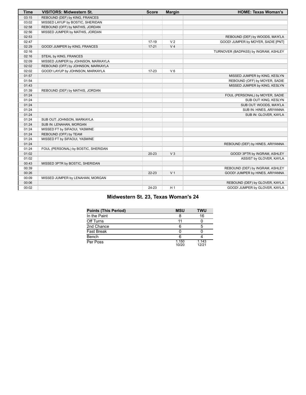| <b>Time</b> | <b>VISITORS: Midwestern St.</b>     | <b>Score</b> | <b>Margin</b>  | <b>HOME: Texas Woman's</b>           |
|-------------|-------------------------------------|--------------|----------------|--------------------------------------|
| 03:15       | REBOUND (DEF) by KING, FRANCES      |              |                |                                      |
| 03:02       | MISSED LAYUP by BOSTIC, SHERIDAN    |              |                |                                      |
| 02:58       | REBOUND (OFF) by MATHIS, JORDAN     |              |                |                                      |
| 02:56       | MISSED JUMPER by MATHIS, JORDAN     |              |                |                                      |
| 02:53       |                                     |              |                | REBOUND (DEF) by WOODS, MA'K'LA      |
| 02:47       |                                     | 17-19        | V <sub>2</sub> | GOOD! JUMPER by MOYER, SADIE [PNT]   |
| 02:29       | GOOD! JUMPER by KING, FRANCES       | $17 - 21$    | V <sub>4</sub> |                                      |
| 02:16       |                                     |              |                | TURNOVER (BADPASS) by INGRAM, ASHLEY |
| 02:16       | STEAL by KING, FRANCES              |              |                |                                      |
| 02:09       | MISSED JUMPER by JOHNSON, MARKAYLA  |              |                |                                      |
| 02:02       | REBOUND (OFF) by JOHNSON, MARKAYLA  |              |                |                                      |
| 02:02       | GOOD! LAYUP by JOHNSON, MARKAYLA    | $17 - 23$    | $V_6$          |                                      |
| 01:57       |                                     |              |                | MISSED JUMPER by KING, KESLYN        |
| 01:54       |                                     |              |                | REBOUND (OFF) by MOYER, SADIE        |
| 01:43       |                                     |              |                | MISSED JUMPER by KING, KESLYN        |
| 01:39       | REBOUND (DEF) by MATHIS, JORDAN     |              |                |                                      |
| 01:24       |                                     |              |                | FOUL (PERSONAL) by MOYER, SADIE      |
| 01:24       |                                     |              |                | SUB OUT: KING, KESLYN                |
| 01:24       |                                     |              |                | SUB OUT: WOODS, MA'K'LA              |
| 01:24       |                                     |              |                | SUB IN: HINES, ARIYANNA              |
| 01:24       |                                     |              |                | SUB IN: GLOVER, KAYLA                |
| 01:24       | SUB OUT: JOHNSON, MARKAYLA          |              |                |                                      |
| 01:24       | SUB IN: LENAHAN, MORGAN             |              |                |                                      |
| 01:24       | MISSED FT by SIFAOUI, YASMINE       |              |                |                                      |
| 01:24       | REBOUND (OFF) by TEAM               |              |                |                                      |
| 01:24       | MISSED FT by SIFAOUI, YASMINE       |              |                |                                      |
| 01:24       |                                     |              |                | REBOUND (DEF) by HINES, ARIYANNA     |
| 01:24       | FOUL (PERSONAL) by BOSTIC, SHERIDAN |              |                |                                      |
| 01:02       |                                     | $20 - 23$    | $V_3$          | GOOD! 3PTR by INGRAM, ASHLEY         |
| 01:02       |                                     |              |                | ASSIST by GLOVER, KAYLA              |
| 00:43       | MISSED 3PTR by BOSTIC, SHERIDAN     |              |                |                                      |
| 00:39       |                                     |              |                | REBOUND (DEF) by INGRAM, ASHLEY      |
| 00:26       |                                     | 22-23        | V <sub>1</sub> | GOOD! JUMPER by HINES, ARIYANNA      |
| 00:09       | MISSED JUMPER by LENAHAN, MORGAN    |              |                |                                      |
| 00:06       |                                     |              |                | REBOUND (DEF) by GLOVER, KAYLA       |
| 00:02       |                                     | 24-23        | H <sub>1</sub> | GOOD! JUMPER by GLOVER, KAYLA        |

# **Midwestern St. 23, Texas Woman's 24**

| <b>Points (This Period)</b> | <b>MSU</b>     | <b>TWU</b>     |
|-----------------------------|----------------|----------------|
| In the Paint                |                | 16             |
| Off Turns                   | 11             |                |
| 2nd Chance                  |                |                |
| <b>Fast Break</b>           |                |                |
| Bench                       |                |                |
| Per Poss                    | 1.150<br>10/20 | 1.143<br>12/21 |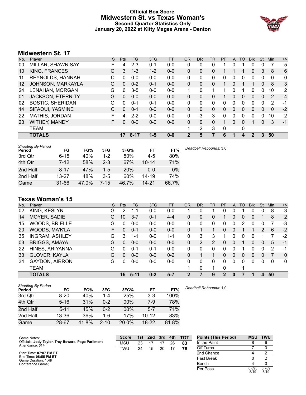# **Official Box Score Midwestern St. vs Texas Woman's Second Quarter Statistics Only January 20, 2022 at Kitty Magee Arena - Denton**



# **Midwestern St. 17**

| No. | Plaver                   | S | <b>Pts</b> | <b>FG</b> | 3FG     | <b>FT</b> | 0R           | DR       | TR | <b>PF</b> | A        | TO | <b>Blk</b> | Stl      | Min | $+/-$ |
|-----|--------------------------|---|------------|-----------|---------|-----------|--------------|----------|----|-----------|----------|----|------------|----------|-----|-------|
| 00  | MILLAR, SHAWNISAY        | F | 4          | $2 - 3$   | $0 - 1$ | $0 - 0$   | 0            | 0        | 0  |           |          |    | 0          | 0        |     | 5     |
| 10  | KING, FRANCES            | G | 3          | $1 - 3$   | $1 - 2$ | $0 - 0$   | 0            | 0        | 0  |           |          |    | 0          | 3        | 8   | 6     |
| 11  | REYNOLDS, HANNAH         | С | 0          | $0 - 0$   | $0 - 0$ | $0 - 0$   | 0            | 0        | 0  | 0         |          | 0  | 0          | 0        | 0   | 0     |
| 12  | JOHNSON, MARKAYLA        | G | 0          | $0 - 2$   | $0 - 1$ | $0 - 0$   | 0            | 0        | 0  |           | 0        |    | 1          | $\Omega$ | 8   | 3     |
| 24  | LENAHAN, MORGAN          | G | 6          | $3 - 5$   | $0 - 0$ | $0 - 0$   | 1            | 0        |    | 1         | 0        |    | 0          | 0        | 10  | 2     |
| 01  | <b>JACKSON, ETERNITY</b> | G | $\Omega$   | $0 - 0$   | $0 - 0$ | $0 - 0$   | 0            | 0        | 0  |           | $\Omega$ | 0  | 0          | 0        | 2   | $-4$  |
| 02  | <b>BOSTIC, SHERIDAN</b>  | G | 0          | $0 - 1$   | $0 - 1$ | $0 - 0$   | 0            | $\Omega$ | 0  | 0         | 0        | 0  | 0          | $\Omega$ | 2   | -1    |
| 14  | SIFAOUI, YASMINE         | C | 0          | $0 - 1$   | $0 - 0$ | $0 - 0$   | $\Omega$     | 0        | 0  | $\Omega$  | $\Omega$ | 0  | 0          | 0        | 0   | $-2$  |
| 22  | <b>MATHIS, JORDAN</b>    | F | 4          | $2 - 2$   | $0 - 0$ | $0 - 0$   | 0            | 3        | 3  | 0         | 0        | 0  | 0          | 0        | 10  | 2     |
| 23  | <b>WITHEY, MANDY</b>     | F | 0          | $0 - 0$   | $0 - 0$ | $0 - 0$   | $\Omega$     | 0        | 0  | 1         | 0        | 0  |            | 0        | 3   | $-1$  |
|     | <b>TEAM</b>              |   |            |           |         |           | 1            | 2        | 3  | 0         |          | 0  |            |          |     |       |
|     | <b>TOTALS</b>            |   | 17         | $8 - 17$  | $1 - 5$ | $0 - 0$   | $\mathbf{2}$ | 5        |    | 6         |          | 4  | 2          | 3        | 50  |       |

| <b>Shooting By Period</b><br>Period | FG        | FG%   | 3FG     | 3FG%  | FT        | FT%   | Deadball Rebounds: 3,0 |
|-------------------------------------|-----------|-------|---------|-------|-----------|-------|------------------------|
| 3rd Qtr                             | $6 - 15$  | 40%   | $1 - 2$ | 50%   | $4-5$     | 80%   |                        |
| 4th Qtr                             | $7 - 12$  | 58%   | $2 - 3$ | 67%   | $10 - 14$ | 71%   |                        |
| 2nd Half                            | $8 - 17$  | 47%   | $1-5$   | 20%   | $0 - 0$   | 0%    |                        |
| 2nd Half                            | $13 - 27$ | 48%   | $3-5$   | 60%   | $14 - 19$ | 74%   |                        |
| Game                                | $31 - 66$ | 47.0% | 7-15    | 46.7% | $14 - 21$ | 66.7% |                        |

# **Texas Woman's 15**

| No. | Plaver                | S  | Pts      | <b>FG</b> | 3FG     | <b>FT</b> | <b>OR</b> | DR             | TR             | PF       | A | TO | <b>Blk</b> | Stl | Min | $+/-$          |
|-----|-----------------------|----|----------|-----------|---------|-----------|-----------|----------------|----------------|----------|---|----|------------|-----|-----|----------------|
| 02  | KING, KESLYN          | G  | 2        | $1 - 1$   | $0 - 0$ | $0 - 0$   |           | 0              |                | 0        | 0 |    | 0          | 0   | 8   | $-3$           |
| 14  | MOYER, SADIE          | G  | 10       | $3 - 7$   | $0 - 1$ | $4 - 4$   | 0         | 0              | 0              |          | 0 | 0  | 0          |     | 8   | $\overline{2}$ |
| 15  | <b>WOODS, BRIELLE</b> | G  | $\Omega$ | $0 - 0$   | $0 - 0$ | $0-0$     | $\Omega$  | 0              | 0              | $\Omega$ | 0 | 2  | 0          | 0   | 7   | -3             |
| 20  | WOODS, MA'K'LA        | F. | 0        | $0 - 1$   | $0 - 0$ | $0 - 0$   | 0         |                |                | 0        | 0 |    |            | 2   | 6   | $-2$           |
| 35  | <b>INGRAM, ASHLEY</b> | G  | 3        | 1-1       | $0 - 0$ | 1-1       | 0         | 3              | 3              |          | 0 |    |            |     |     | $-2$           |
| 03  | <b>BRIGGS, AMAYA</b>  | G  | 0        | $0 - 0$   | $0 - 0$ | $0 - 0$   | 0         | $\overline{2}$ | $\overline{2}$ | 0        | 0 |    | 0          | 0   | 5   | $-1$           |
| 22  | HINES, ARIYANNA       | G  | 0        | $0 - 1$   | 0-1     | $0-0$     | 0         | 0              | 0              | 0        | 0 |    | 0          | 0   | 2   | -1             |
| 33  | <b>GLOVER, KAYLA</b>  | G  | $\Omega$ | $0 - 0$   | $0 - 0$ | $0 - 2$   | 0         |                |                | 0        | 0 | 0  | 0          | 0   |     | $\mathbf{0}$   |
| 34  | <b>GAYDON, AIRRON</b> | G  | $\Omega$ | $0 - 0$   | $0 - 0$ | $0-0$     | $\Omega$  | 0              | 0              | $\Omega$ | 0 | 0  | 0          | 0   | 0   | 0              |
|     | <b>TEAM</b>           |    |          |           |         |           |           | 0              | 1              | $\Omega$ |   |    |            |     |     |                |
|     | <b>TOTALS</b>         |    | 15       | 5-11      | $0 - 2$ | $5 - 7$   | 2         |                | 9              | 2        | 0 |    |            |     | 50  |                |

| <b>Shooting By Period</b><br>Period | FG       | FG%   | 3FG      | 3FG%  | FT        | FT%   | Deadball Rebounds: 1,0 |
|-------------------------------------|----------|-------|----------|-------|-----------|-------|------------------------|
| 3rd Qtr                             | $8 - 20$ | 40%   | $1 - 4$  | 25%   | $3-3$     | 100%  |                        |
| 4th Qtr                             | $5 - 16$ | 31%   | $0 - 2$  | 00%   | 7-9       | 78%   |                        |
| 2nd Half                            | $5 - 11$ | 45%   | $0 - 2$  | 00%   | $5 - 7$   | 71%   |                        |
| 2nd Half                            | 13-36    | 36%   | 1-6      | 17%   | $10 - 12$ | 83%   |                        |
| Game                                | 28-67    | 41.8% | $2 - 10$ | 20.0% | $18-22$   | 81.8% |                        |

Game Notes: Officials: **Jody Taylor, Trey Bowers, Page Parliment** Attendance: **314** Start Time: **07:07 PM ET** End Time: **08:55 PM ET** Game Duration: **1:48** Conference Game; **Score 1st 2nd 3rd 4th TOT** MSU 23 17 17 26 **83** TWU 24 15 20 17 **76 Points (This Period) MSU TWU** In the Paint Off Turns 7 0 2nd Chance 4 2 Fast Break 0 2 Bench 4 0 Per Poss 0.895<br>8/19 0.789 8/19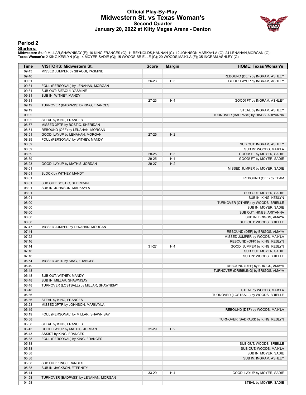# **Official Play-By-Play Midwestern St. vs Texas Woman's Second Quarter January 20, 2022 at Kitty Magee Arena - Denton**



#### **Period 2**

#### **Starters:**

**Midwestern St.**: 0 MILLAR,SHAWNISAY (F); 10 KING,FRANCES (G); 11 REYNOLDS,HANNAH (C); 12 JOHNSON,MARKAYLA (G); 24 LENAHAN,MORGAN (G);<br>**Texas Woman's**: 2 KING,KESLYN (G); 14 MOYER,SADIE (G); 15 WOODS,BRIELLE (G); 20 WOODS,

| Time           | <b>VISITORS: Midwestern St.</b>          | <b>Score</b> | <b>Margin</b>  | <b>HOME: Texas Woman's</b>                                    |
|----------------|------------------------------------------|--------------|----------------|---------------------------------------------------------------|
| 09:43          | MISSED JUMPER by SIFAOUI, YASMINE        |              |                |                                                               |
| 09:40          |                                          |              |                | REBOUND (DEF) by INGRAM, ASHLEY                               |
| 09:31          |                                          | 26-23        | H <sub>3</sub> | GOOD! LAYUP by INGRAM, ASHLEY                                 |
| 09:31          | FOUL (PERSONAL) by LENAHAN, MORGAN       |              |                |                                                               |
| 09:31          | SUB OUT: SIFAOUI, YASMINE                |              |                |                                                               |
| 09:31          | SUB IN: WITHEY, MANDY                    |              |                |                                                               |
| 09:31          |                                          | 27-23        | H4             | GOOD! FT by INGRAM, ASHLEY                                    |
| 09:19          | TURNOVER (BADPASS) by KING, FRANCES      |              |                |                                                               |
| 09:19          |                                          |              |                | STEAL by INGRAM, ASHLEY                                       |
| 09:02          |                                          |              |                | TURNOVER (BADPASS) by HINES, ARIYANNA                         |
| 09:02          | STEAL by KING, FRANCES                   |              |                |                                                               |
| 08:57          | MISSED 3PTR by BOSTIC, SHERIDAN          |              |                |                                                               |
| 08:51          | REBOUND (OFF) by LENAHAN, MORGAN         |              |                |                                                               |
| 08:51          | GOOD! LAYUP by LENAHAN, MORGAN           | $27 - 25$    | H <sub>2</sub> |                                                               |
| 08:39          | FOUL (PERSONAL) by WITHEY, MANDY         |              |                |                                                               |
| 08:39          |                                          |              |                | SUB OUT: INGRAM, ASHLEY                                       |
| 08:39          |                                          |              |                | SUB IN: WOODS, MA'K'LA                                        |
| 08:39          |                                          | 28-25        | $H_3$          | GOOD! FT by MOYER, SADIE                                      |
| 08:39          |                                          | 29-25        | H4             | GOOD! FT by MOYER, SADIE                                      |
| 08:23          | GOOD! LAYUP by MATHIS, JORDAN            | 29-27        | H <sub>2</sub> |                                                               |
| 08:01          |                                          |              |                | MISSED JUMPER by MOYER, SADIE                                 |
| 08:01          | BLOCK by WITHEY, MANDY                   |              |                |                                                               |
| 08:01          |                                          |              |                | REBOUND (OFF) by TEAM                                         |
| 08:01          | SUB OUT: BOSTIC, SHERIDAN                |              |                |                                                               |
| 08:01          | SUB IN: JOHNSON, MARKAYLA                |              |                |                                                               |
| 08:01          |                                          |              |                | SUB OUT: MOYER, SADIE                                         |
| 08:01          |                                          |              |                | SUB IN: KING, KESLYN                                          |
| 08:00          |                                          |              |                | TURNOVER (OTHER) by WOODS, BRIELLE                            |
| 08:00          |                                          |              |                | SUB IN: MOYER, SADIE                                          |
| 08:00          |                                          |              |                | SUB OUT: HINES, ARIYANNA                                      |
| 08:00          |                                          |              |                | SUB IN: BRIGGS, AMAYA                                         |
| 08:00          |                                          |              |                | SUB OUT: WOODS, BRIELLE                                       |
| 07:47          | MISSED JUMPER by LENAHAN, MORGAN         |              |                |                                                               |
| 07:44          |                                          |              |                | REBOUND (DEF) by BRIGGS, AMAYA                                |
| 07:22          |                                          |              |                | MISSED JUMPER by WOODS, MA'K'LA                               |
| 07:16<br>07:14 |                                          | $31 - 27$    | H4             | REBOUND (OFF) by KING, KESLYN<br>GOOD! JUMPER by KING, KESLYN |
| 07:10          |                                          |              |                | SUB OUT: MOYER, SADIE                                         |
| 07:10          |                                          |              |                | SUB IN: WOODS, BRIELLE                                        |
| 06:54          | MISSED 3PTR by KING, FRANCES             |              |                |                                                               |
| 06:49          |                                          |              |                | REBOUND (DEF) by BRIGGS, AMAYA                                |
| 06:48          |                                          |              |                | TURNOVER (DRIBBLING) by BRIGGS, AMAYA                         |
| 06:48          | SUB OUT: WITHEY, MANDY                   |              |                |                                                               |
| 06:48          | SUB IN: MILLAR, SHAWNISAY                |              |                |                                                               |
| 06:48          | TURNOVER (LOSTBALL) by MILLAR, SHAWNISAY |              |                |                                                               |
| 06:48          |                                          |              |                | STEAL by WOODS, MA'K'LA                                       |
| 06:36          |                                          |              |                | TURNOVER (LOSTBALL) by WOODS, BRIELLE                         |
| 06:36          | STEAL by KING, FRANCES                   |              |                |                                                               |
| 06:23          | MISSED 3PTR by JOHNSON, MARKAYLA         |              |                |                                                               |
| 06:19          |                                          |              |                | REBOUND (DEF) by WOODS, MA'K'LA                               |
| 06:19          | FOUL (PERSONAL) by MILLAR, SHAWNISAY     |              |                |                                                               |
| 05:58          |                                          |              |                | TURNOVER (BADPASS) by KING, KESLYN                            |
| 05:58          | STEAL by KING, FRANCES                   |              |                |                                                               |
| 05:43          | GOOD! LAYUP by MATHIS, JORDAN            | 31-29        | H <sub>2</sub> |                                                               |
| 05:43          | ASSIST by KING, FRANCES                  |              |                |                                                               |
| 05:38          | FOUL (PERSONAL) by KING, FRANCES         |              |                |                                                               |
| 05:38          |                                          |              |                | SUB OUT: WOODS, BRIELLE                                       |
| 05:38          |                                          |              |                | SUB OUT: WOODS, MA'K'LA                                       |
| 05:38          |                                          |              |                | SUB IN: MOYER, SADIE                                          |
| 05:38          |                                          |              |                | SUB IN: INGRAM, ASHLEY                                        |
| 05:38          | SUB OUT: KING, FRANCES                   |              |                |                                                               |
| 05:38          | SUB IN: JACKSON, ETERNITY                |              |                |                                                               |
| 05:14          |                                          | 33-29        | H 4            | GOOD! LAYUP by MOYER, SADIE                                   |
| 04:58          | TURNOVER (BADPASS) by LENAHAN, MORGAN    |              |                |                                                               |
| 04:58          |                                          |              |                | STEAL by MOYER, SADIE                                         |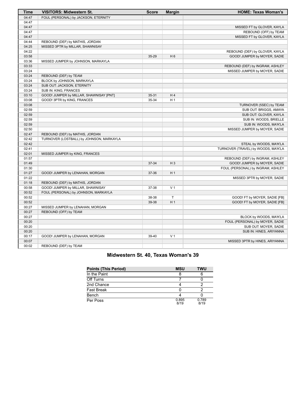| Time           | <b>VISITORS: Midwestern St.</b>          | <b>Score</b> | <b>Margin</b>  | <b>HOME: Texas Woman's</b>                                      |
|----------------|------------------------------------------|--------------|----------------|-----------------------------------------------------------------|
| 04:47          | FOUL (PERSONAL) by JACKSON, ETERNITY     |              |                |                                                                 |
| 04:47          |                                          |              |                |                                                                 |
| 04:47          |                                          |              |                | MISSED FT by GLOVER, KAYLA                                      |
| 04:47          |                                          |              |                | REBOUND (OFF) by TEAM                                           |
| 04:47          |                                          |              |                | MISSED FT by GLOVER, KAYLA                                      |
| 04:44          | REBOUND (DEF) by MATHIS, JORDAN          |              |                |                                                                 |
| 04:25          | MISSED 3PTR by MILLAR, SHAWNISAY         |              |                |                                                                 |
| 04:22          |                                          |              |                | REBOUND (DEF) by GLOVER, KAYLA                                  |
| 03:58          |                                          | 35-29        | H <sub>6</sub> | GOOD! JUMPER by MOYER, SADIE                                    |
| 03:36          | MISSED JUMPER by JOHNSON, MARKAYLA       |              |                |                                                                 |
| 03:33          |                                          |              |                | REBOUND (DEF) by INGRAM, ASHLEY                                 |
| 03:24          |                                          |              |                | MISSED JUMPER by MOYER, SADIE                                   |
| 03:24          | REBOUND (DEF) by TEAM                    |              |                |                                                                 |
| 03:24          | BLOCK by JOHNSON, MARKAYLA               |              |                |                                                                 |
| 03:24          | SUB OUT: JACKSON, ETERNITY               |              |                |                                                                 |
| 03:24          | SUB IN: KING, FRANCES                    |              |                |                                                                 |
| 03:10          | GOOD! JUMPER by MILLAR, SHAWNISAY [PNT]  | $35 - 31$    | H4             |                                                                 |
| 03:08          | GOOD! 3PTR by KING, FRANCES              | 35-34        | H <sub>1</sub> |                                                                 |
| 03:08          |                                          |              |                | TURNOVER (5SEC) by TEAM                                         |
| 02:59          |                                          |              |                | SUB OUT: BRIGGS, AMAYA                                          |
| 02:59          |                                          |              |                | SUB OUT: GLOVER, KAYLA                                          |
| 02:59          |                                          |              |                | SUB IN: WOODS, BRIELLE                                          |
| 02:59          |                                          |              |                | SUB IN: WOODS, MA'K'LA                                          |
| 02:50          |                                          |              |                | MISSED JUMPER by MOYER, SADIE                                   |
| 02:47          | REBOUND (DEF) by MATHIS, JORDAN          |              |                |                                                                 |
| 02:42          | TURNOVER (LOSTBALL) by JOHNSON, MARKAYLA |              |                |                                                                 |
| 02:42          |                                          |              |                | STEAL by WOODS, MA'K'LA                                         |
| 02:41          |                                          |              |                | TURNOVER (TRAVEL) by WOODS, MA'K'LA                             |
| 02:01          | MISSED JUMPER by KING, FRANCES           |              |                |                                                                 |
| 01:57<br>01:49 |                                          | 37-34        | $H_3$          | REBOUND (DEF) by INGRAM, ASHLEY<br>GOOD! JUMPER by MOYER, SADIE |
| 01:30          |                                          |              |                |                                                                 |
| 01:27          | GOOD! JUMPER by LENAHAN, MORGAN          | 37-36        | H <sub>1</sub> | FOUL (PERSONAL) by INGRAM, ASHLEY                               |
| 01:22          |                                          |              |                | MISSED 3PTR by MOYER, SADIE                                     |
| 01:18          | REBOUND (DEF) by MATHIS, JORDAN          |              |                |                                                                 |
| 00:58          | GOOD! JUMPER by MILLAR, SHAWNISAY        | 37-38        | V <sub>1</sub> |                                                                 |
| 00:52          | FOUL (PERSONAL) by JOHNSON, MARKAYLA     |              |                |                                                                 |
| 00:52          |                                          | 38-38        | T.             | GOOD! FT by MOYER, SADIE [FB]                                   |
| 00:52          |                                          | 39-38        | H <sub>1</sub> | GOOD! FT by MOYER, SADIE [FB]                                   |
| 00:27          | MISSED JUMPER by LENAHAN, MORGAN         |              |                |                                                                 |
| 00:27          | REBOUND (OFF) by TEAM                    |              |                |                                                                 |
| 00:27          |                                          |              |                | BLOCK by WOODS, MA'K'LA                                         |
| 00:20          |                                          |              |                | FOUL (PERSONAL) by MOYER, SADIE                                 |
| 00:20          |                                          |              |                | SUB OUT: MOYER, SADIE                                           |
| 00:20          |                                          |              |                | SUB IN: HINES, ARIYANNA                                         |
| 00:17          | GOOD! JUMPER by LENAHAN, MORGAN          | 39-40        | V <sub>1</sub> |                                                                 |
| 00:07          |                                          |              |                | MISSED 3PTR by HINES, ARIYANNA                                  |
| 00:02          | REBOUND (DEF) by TEAM                    |              |                |                                                                 |
|                |                                          |              |                |                                                                 |

# **Midwestern St. 40, Texas Woman's 39**

| <b>Points (This Period)</b> | <b>MSU</b>    | <b>TWU</b>    |
|-----------------------------|---------------|---------------|
| In the Paint                |               |               |
| Off Turns                   |               |               |
| 2nd Chance                  |               |               |
| <b>Fast Break</b>           |               |               |
| Bench                       |               |               |
| Per Poss                    | 0.895<br>8/19 | 0.789<br>8/19 |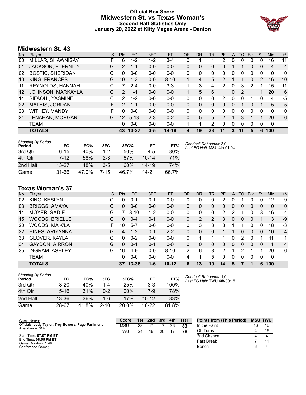# **Official Box Score Midwestern St. vs Texas Woman's Second Half Statistics Only January 20, 2022 at Kitty Magee Arena - Denton**



# **Midwestern St. 43**

| No. | Plaver                   | S  | <b>Pts</b>      | <b>FG</b> | 3FG     | <b>FT</b> | <b>OR</b> | <b>DR</b> | TR | <b>PF</b>     | A | TO            | <b>B</b> lk | Stl | <b>Min</b>  | $+/-$ |
|-----|--------------------------|----|-----------------|-----------|---------|-----------|-----------|-----------|----|---------------|---|---------------|-------------|-----|-------------|-------|
| 00  | MILLAR, SHAWNISAY        | F  | 6               | $1 - 2$   | 1-2     | $3-4$     | 0         |           |    | 2             | 0 | 0             | 0           | 0   | 16          | 11    |
| 01  | <b>JACKSON, ETERNITY</b> | G  | $\overline{2}$  | 1-1       | $0 - 0$ | $0 - 0$   | 0         | 0         | 0  | 0             |   |               | 0           | 0   | 4           | $-4$  |
| 02  | <b>BOSTIC, SHERIDAN</b>  | G  | 0               | $0-0$     | $0 - 0$ | $0 - 0$   | 0         | 0         | 0  | 0             | 0 | 0             | 0           | 0   | 0           | 0     |
| 10  | KING, FRANCES            | G  | 10              | $1 - 3$   | $0 - 0$ | $8 - 10$  | 1         | 4         | 5  | 2             |   | 1             | 0           | 2   | 16          | 10    |
| 11  | REYNOLDS, HANNAH         | C  |                 | $2 - 4$   | $0 - 0$ | $3 - 3$   |           | 3         | 4  | 2             | 0 | 3             | 2           | 1   | 15          | 11    |
| 12  | JOHNSON, MARKAYLA        | G  | $\mathcal{P}$   | $1 - 1$   | $0 - 0$ | $0 - 0$   | 1         | 5         | 6  | 1             | 0 | $\mathcal{P}$ |             | 1   | 20          | 6     |
| 14  | SIFAOUI, YASMINE         | C  | 2               | $1 - 2$   | $0 - 0$ | $0 - 0$   | 0         | 0         | 0  | $\mathcal{P}$ | 0 | 0             |             | 0   | 4           | -5    |
| 22  | <b>MATHIS, JORDAN</b>    | F. | $\mathcal{P}$   | $1 - 1$   | $0 - 0$ | $0 - 0$   | 0         | $\Omega$  | 0  | 0             | 0 |               | 0           | 1   | 5           | $-5$  |
| 23  | WITHEY, MANDY            | F  | 0               | $0 - 0$   | $0 - 0$ | $0 - 0$   | 0         | 0         | 0  | 0             | 0 | 0             | 0           | 0   | 0           | 0     |
| 24  | LENAHAN, MORGAN          | G  | 12 <sup>°</sup> | $5 - 13$  | $2 - 3$ | $0 - 2$   | 0         | 5         | 5  | 2             |   | 3             |             |     | 20          | 6     |
|     | TEAM                     |    | 0               | $0 - 0$   | $0 - 0$ | $0 - 0$   |           | 1         | 2  | 0             | 0 | 0             | 0           | 0   | $\mathbf 0$ |       |
|     | TOTALS                   |    | 43              | $13 - 27$ | $3 - 5$ | 14-19     | 4         | 19        | 23 | 11            | 3 | 11            | 5           | 6   | 100         |       |

| <b>Shooting By Period</b><br>Period | FG        | FG%   | 3FG     | 3FG%  | FT        | FT%   | Deadball Rebounds: 3,0<br>Last FG Half: MSU 4th-01:04 |
|-------------------------------------|-----------|-------|---------|-------|-----------|-------|-------------------------------------------------------|
| 3rd Qtr                             | 6-15      | 40%   | $1-2$   | 50%   | 4-5       | 80%   |                                                       |
| 4th Qtr                             | 7-12      | 58%   | $2 - 3$ | 67%   | $10 - 14$ | 71%   |                                                       |
| 2nd Half                            | $13 - 27$ | 48%   | $3-5$   | 60%   | $14 - 19$ | 74%   |                                                       |
| Game                                | 31-66     | 47.0% | 7-15    | 46.7% | 14-21     | 66.7% |                                                       |

# **Texas Woman's 37**

| No. | Plaver                | S  | <b>Pts</b> | FG        | 3FG     | <b>FT</b> | <b>OR</b>    | <b>DR</b> | TR             | PF            | A        | TO | <b>Blk</b>   | Stl      | Min | $+/-$       |
|-----|-----------------------|----|------------|-----------|---------|-----------|--------------|-----------|----------------|---------------|----------|----|--------------|----------|-----|-------------|
| 02  | KING, KESLYN          | G  | 0          | $0 - 1$   | 0-1     | $0-0$     | 0            | 0         | 0              | 2             | 0        |    |              | 0        | 12  | -9          |
| 03  | <b>BRIGGS, AMAYA</b>  | G  | 0          | $0 - 0$   | $0-0$   | $0 - 0$   | 0            | 0         | 0              | 0             | 0        | 0  | 0            | 0        | 0   | $\mathbf 0$ |
| 14  | MOYER, SADIE          | G  |            | $3 - 10$  | 1-2     | $0 - 0$   | 0            | 0         | 0              | 2             | 2        |    | 0            | 3        | 16  | -4          |
| 15  | WOODS, BRIELLE        | G  | 0          | $0 - 4$   | $0 - 1$ | $0 - 0$   | $\Omega$     | 2         | $\overline{2}$ | 3             | $\Omega$ | 0  | $\Omega$     |          | 13  | $-9$        |
| 20  | WOODS, MA'K'LA        | F. | 10         | $5 - 7$   | $0 - 0$ | $0 - 0$   | $\mathbf{0}$ | 3         | 3              | 3             |          |    | 0            | 0        | 18  | -3          |
| 22  | HINES, ARIYANNA       | G  | 4          | $1 - 2$   | $0 - 1$ | $2 - 2$   | 0            | 0         | 0              |               |          | 0  | $\Omega$     | 0        | 10  | $-4$        |
| 33  | <b>GLOVER, KAYLA</b>  | G  | 0          | $0 - 2$   | $0 - 0$ | $0 - 0$   | 0            |           |                |               | 0        | 2  | 0            |          | 11  | 1           |
| 34  | <b>GAYDON, AIRRON</b> | G  | 0          | $0 - 1$   | $0 - 1$ | $0 - 0$   | 0            | 0         | 0              | 0             | 0        | 0  | $\mathbf{0}$ | $\Omega$ | 1   | 4           |
| 35  | <b>INGRAM, ASHLEY</b> | G  | 16         | $4-9$     | $0 - 0$ | $8 - 10$  | 2            | 6         | 8              | $\mathcal{P}$ | 1        | 2  |              |          | 20  | -6          |
|     | <b>TEAM</b>           |    | 0          | $0 - 0$   | $0 - 0$ | $0 - 0$   | 4            | 1         | 5              | 0             | 0        | 0  | 0            | 0        | 0   |             |
|     | <b>TOTALS</b>         |    | 37         | $13 - 36$ | 1-6     | $10 - 12$ | 6            | 13        | 19             | 14            | 5        |    |              | 6        | 100 |             |

| <b>Shooting By Period</b><br>Period | FG        | FG%   | 3FG      | 3FG%   | FT        | FT%   |
|-------------------------------------|-----------|-------|----------|--------|-----------|-------|
| 3rd Otr                             | $8 - 20$  | 40%   | 1-4      | 25%    | $3-3$     | 100%  |
| 4th Qtr                             | $5 - 16$  | 31%   | $0 - 2$  | $00\%$ | 7-9       | 78%   |
| 2nd Half                            | $13 - 36$ | 36%   | 1-6      | 17%    | $10 - 12$ | 83%   |
| Game                                | 28-67     | 41.8% | $2 - 10$ | 20.0%  | $18-22$   | 81.8% |

*Deadball Rebounds:* 1,0 *Last FG Half:* TWU 4th-00:15

| Game Notes:                                                            | <b>Score</b> | 1st. | 2nd | 3rd | 4th | <b>TOT</b> | <b>Points from (This Period)</b> |    | <b>MSU TWU</b> |
|------------------------------------------------------------------------|--------------|------|-----|-----|-----|------------|----------------------------------|----|----------------|
| Officials: Jody Taylor, Trey Bowers, Page Parliment<br>Attendance: 314 | <b>MSL</b>   | 23   |     |     | 26  | 83         | In the Paint                     | 16 | 16             |
|                                                                        | <b>TWU</b>   | 24   | 15  | 20  |     | 76         | Off Turns                        |    |                |
| Start Time: 07:07 PM ET                                                |              |      |     |     |     |            | 2nd Chance                       |    |                |
| End Time: 08:55 PM ET<br>Game Duration: 1:48                           |              |      |     |     |     |            | <b>Fast Break</b>                |    |                |
| Conference Game:                                                       |              |      |     |     |     |            | Bench                            |    |                |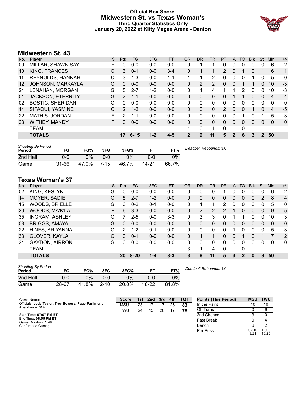# **Official Box Score Midwestern St. vs Texas Woman's Third Quarter Statistics Only January 20, 2022 at Kitty Magee Arena - Denton**



# **Midwestern St. 43**

| No.               | Player                   | S | <b>Pts</b>     | FG       | 3FG     | <b>FT</b> | <b>OR</b> | DR             | TR            | <b>PF</b>     | A              | TO | <b>Blk</b> | <b>Stl</b>       | Min | $+/-$          |
|-------------------|--------------------------|---|----------------|----------|---------|-----------|-----------|----------------|---------------|---------------|----------------|----|------------|------------------|-----|----------------|
| 00                | MILLAR, SHAWNISAY        | F | 0              | $0 - 0$  | $0-0$   | $0 - 0$   | 0         |                |               | 0             | $\Omega$       | 0  | 0          | 0                | 6   | $\overline{2}$ |
| 10                | KING, FRANCES            | G | 3              | $0 - 1$  | $0 - 0$ | $3 - 4$   | 0         |                |               | 2             | 0              |    | 0          |                  | 6   | $\mathbf 1$    |
| 11                | REYNOLDS, HANNAH         | C | 3              | 1-3      | $0 - 0$ | $1 - 1$   |           |                | 2             | 0             | 0              | 0  | 1          | 0                | 5   | 0              |
| $12 \overline{ }$ | JOHNSON, MARKAYLA        | G | $\Omega$       | $0 - 0$  | $0 - 0$ | $0 - 0$   | 0         | $\overline{2}$ | $\mathcal{P}$ | $\Omega$      | $\Omega$       |    |            | 0                | 10  | $-3$           |
| 24                | LENAHAN, MORGAN          | G | 5              | $2 - 7$  | $1 - 2$ | $0 - 0$   | 0         | 4              | 4             |               |                | 2  | 0          | 0                | 10  | $-3$           |
| 01                | <b>JACKSON, ETERNITY</b> | G | $\overline{2}$ | $1 - 1$  | $0 - 0$ | $0 - 0$   | 0         | 0              | 0             | 0             |                |    | 0          | 0                | 4   | $-4$           |
| 02                | <b>BOSTIC, SHERIDAN</b>  | G | 0              | $0 - 0$  | $0 - 0$ | $0 - 0$   | 0         | 0              | 0             | 0             | 0              | 0  | 0          | 0                | 0   | 0              |
| 14                | SIFAOUI, YASMINE         | C | $\mathcal{P}$  | $1 - 2$  | $0 - 0$ | $0 - 0$   | $\Omega$  | 0              | 0             | $\mathcal{P}$ | 0              | 0  |            | 0                | 4   | -5             |
| 22                | MATHIS, JORDAN           | F | 2              | $1 - 1$  | $0 - 0$ | $0 - 0$   | 0         | 0              | 0             | 0             | 0              |    | 0          |                  | 5   | $-3$           |
| 23                | WITHEY, MANDY            | F | 0              | $0 - 0$  | $0 - 0$ | $0 - 0$   | $\Omega$  | $\Omega$       | 0             | $\Omega$      | $\Omega$       | 0  | 0          | 0                | 0   | 0              |
|                   | <b>TEAM</b>              |   |                |          |         |           |           | 0              | 1             | 0             |                | 0  |            |                  |     |                |
|                   | <b>TOTALS</b>            |   | 17             | $6 - 15$ | $1 - 2$ | $4 - 5$   | 2         | 9              | 11            | 5             | $\overline{2}$ | 6  | 3          | $\boldsymbol{P}$ | 50  |                |
|                   |                          |   |                |          |         |           |           |                |               |               |                |    |            |                  |     |                |

| <b>Shooting By Period</b><br>Period | FG    | FG%   | 3FG      | 3FG%  |       | FT%   | Deadball Rebounds: 3,0 |
|-------------------------------------|-------|-------|----------|-------|-------|-------|------------------------|
| 2nd Half                            | 0-0   | 0%    | 0-0      | $0\%$ | 0-0   | 0%    |                        |
| Game                                | 31-66 | 47.0% | $7 - 15$ | 46.7% | 14-21 | 66.7% |                        |

# **Texas Woman's 37**

| No. | Player                | S | Pts            | FG       | 3FG     | <b>FT</b> | 0R           | DR       | TR | PF | A        | TO       | <b>B</b> lk | Stl      | Min | $+/-$          |
|-----|-----------------------|---|----------------|----------|---------|-----------|--------------|----------|----|----|----------|----------|-------------|----------|-----|----------------|
| 02  | KING, KESLYN          | G | 0              | $0 - 0$  | $0-0$   | $0-0$     | 0            | 0        | 0  |    |          | 0        | 0           | 0        | 6   | $-2$           |
| 14  | MOYER, SADIE          | G | 5              | $2 - 7$  | $1 - 2$ | $0 - 0$   | 0            | 0        | 0  | 0  | $\Omega$ | 0        | 0           | 2        | 8   | $\overline{4}$ |
| 15  | <b>WOODS, BRIELLE</b> | G | 0              | $0 - 2$  | $0 - 1$ | $0-0$     | 0            |          |    | 2  | 0        | 0        | 0           | 0        | 5   | 0              |
| 20  | WOODS, MA'K'LA        | F | 6              | $3 - 3$  | $0 - 0$ | $0 - 0$   | $\mathbf{0}$ | 2        | 2  | 2  |          | 0        | 0           | 0        | 9   | 5              |
| 35  | <b>INGRAM, ASHLEY</b> | G |                | $2 - 5$  | $0 - 0$ | $3 - 3$   | 0            | 3        | 3  | 0  |          |          | 0           | 0        | 10  | 3              |
| 03  | <b>BRIGGS, AMAYA</b>  | G | 0              | $0 - 0$  | $0 - 0$ | $0 - 0$   | $\Omega$     | $\Omega$ | 0  | 0  | $\Omega$ | $\Omega$ | 0           | 0        | 0   | 0              |
| 22  | HINES, ARIYANNA       | G | $\overline{2}$ | $1 - 2$  | $0 - 1$ | $0 - 0$   | $\Omega$     | $\Omega$ | 0  | 0  |          | 0        | 0           | $\Omega$ | 5   | 3              |
| 33  | <b>GLOVER, KAYLA</b>  | G | 0              | $0 - 1$  | $0 - 0$ | $0 - 0$   | $\Omega$     |          |    | 0  | $\Omega$ |          | 0           |          |     | 2              |
| 34  | <b>GAYDON, AIRRON</b> | G | 0              | $0 - 0$  | $0-0$   | $0-0$     | $\Omega$     | 0        | 0  | 0  | $\Omega$ | 0        | 0           | $\Omega$ | 0   | 0              |
|     | <b>TEAM</b>           |   |                |          |         |           | 3            | 1        | 4  | 0  |          | 0        |             |          |     |                |
|     | <b>TOTALS</b>         |   | 20             | $8 - 20$ | $1 - 4$ | $3 - 3$   | 3            | 8        | 11 | 5  | 3        | 2        | 0           | 3        | 50  |                |
|     |                       |   |                |          |         |           |              |          |    |    |          |          |             |          |     |                |

| <b>Shooting By Period</b><br>Period | FG    | FG%   | 3FG      | 3FG%  | ET        | FT%   | Deadball R |
|-------------------------------------|-------|-------|----------|-------|-----------|-------|------------|
| 2nd Half                            | 0-0   | $2\%$ | 0-0      | 2%    | 0-0       | 0%    |            |
| Game                                | 28-67 | 41.8% | $2 - 10$ | 20.0% | $18 - 22$ | 81.8% |            |

*Deadball Rebounds:* 1,0

| Game Notes:                                                            | <b>Score</b> | 1st | 2nd | 3rd | 4th | тот | <b>Points (This Period)</b> | <b>MSU</b>    | <b>TWU</b>     |
|------------------------------------------------------------------------|--------------|-----|-----|-----|-----|-----|-----------------------------|---------------|----------------|
| Officials: Jody Taylor, Trey Bowers, Page Parliment<br>Attendance: 314 | <b>MSU</b>   | 23  |     |     | 26  | 83  | In the Paint                |               | 10             |
|                                                                        | TWU          | 24  | 15  | 20  |     | 76  | Off Turns                   |               | 9              |
| Start Time: 07:07 PM ET                                                |              |     |     |     |     |     | 2nd Chance                  |               |                |
| End Time: 08:55 PM ET<br>Game Duration: 1:48                           |              |     |     |     |     |     | Fast Break                  |               |                |
| Conference Game;                                                       |              |     |     |     |     |     | Bench                       |               |                |
|                                                                        |              |     |     |     |     |     | Per Poss                    | 0.810<br>8/21 | 1.000<br>10/20 |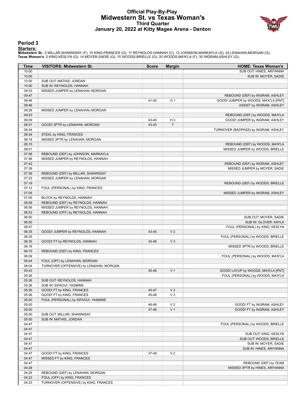# **Official Play-By-Play Midwestern St. vs Texas Woman's Third Quarter January 20, 2022 at Kitty Magee Arena - Denton**



#### **Period 3**

<mark>Starters:</mark><br>Midwestern St.: 0 MILLAR,SHAWNISAY (F); 10 KING,FRANCES (G); 11 REYNOLDS,HANNAH (C); 12 JOHNSON,MARKAYLA (G); 24 LENAHAN,MORGAN (G);<br>Texas Woman's: 2 KING,KESLYN (G); 14 MOYER,SADIE (G); 15 WOODS,BRIELLE (G); 2

| <b>Time</b>    | <b>VISITORS: Midwestern St.</b>         | <b>Score</b> | <b>Margin</b>  | <b>HOME: Texas Woman's</b>                                        |
|----------------|-----------------------------------------|--------------|----------------|-------------------------------------------------------------------|
| 10:00          |                                         |              |                | SUB OUT: HINES, ARIYANNA                                          |
| 10:00          |                                         |              |                | SUB IN: MOYER, SADIE                                              |
| 10:00          | SUB OUT: MATHIS, JORDAN                 |              |                |                                                                   |
| 10:00          | SUB IN: REYNOLDS, HANNAH                |              |                |                                                                   |
| 09:53          | MISSED JUMPER by LENAHAN, MORGAN        |              |                |                                                                   |
| 09:47          |                                         |              |                | REBOUND (DEF) by INGRAM, ASHLEY                                   |
| 09:46          |                                         | 41-40        | H <sub>1</sub> | GOOD! JUMPER by WOODS, MA'K'LA [PNT]                              |
| 09:46          |                                         |              |                | ASSIST by INGRAM, ASHLEY                                          |
| 09:26<br>09:23 | MISSED JUMPER by LENAHAN, MORGAN        |              |                |                                                                   |
| 09:09          |                                         | 43-40        | $H_3$          | REBOUND (DEF) by WOODS, MA'K'LA<br>GOOD! JUMPER by INGRAM, ASHLEY |
| 08:51          | GOOD! 3PTR by LENAHAN, MORGAN           | 43-43        | $\top$         |                                                                   |
| 08:34          |                                         |              |                | TURNOVER (BADPASS) by INGRAM, ASHLEY                              |
| 08:34          | STEAL by KING, FRANCES                  |              |                |                                                                   |
| 08:18          | MISSED 3PTR by LENAHAN, MORGAN          |              |                |                                                                   |
| 08:15          |                                         |              |                | REBOUND (DEF) by WOODS, MA'K'LA                                   |
| 08:01          |                                         |              |                | MISSED JUMPER by WOODS, BRIELLE                                   |
| 07:58          | REBOUND (DEF) by JOHNSON, MARKAYLA      |              |                |                                                                   |
| 07:48          | MISSED JUMPER by REYNOLDS, HANNAH       |              |                |                                                                   |
| 07:42          |                                         |              |                | REBOUND (DEF) by INGRAM, ASHLEY                                   |
| 07:39          |                                         |              |                | MISSED JUMPER by MOYER, SADIE                                     |
| 07:36          | REBOUND (DEF) by MILLAR, SHAWNISAY      |              |                |                                                                   |
| 07:23          | MISSED JUMPER by LENAHAN, MORGAN        |              |                |                                                                   |
| 07:19          |                                         |              |                | REBOUND (DEF) by WOODS, BRIELLE                                   |
| 07:12          | FOUL (PERSONAL) by KING, FRANCES        |              |                |                                                                   |
| 07:05          |                                         |              |                | MISSED JUMPER by INGRAM, ASHLEY                                   |
| 07:05          | BLOCK by REYNOLDS, HANNAH               |              |                |                                                                   |
| 06:58          | REBOUND (DEF) by REYNOLDS, HANNAH       |              |                |                                                                   |
| 06:56          | MISSED JUMPER by REYNOLDS, HANNAH       |              |                |                                                                   |
| 06:53          | REBOUND (OFF) by REYNOLDS, HANNAH       |              |                |                                                                   |
| 06:50          |                                         |              |                | SUB OUT: MOYER, SADIE                                             |
| 06:50          |                                         |              |                | SUB IN: GLOVER, KAYLA                                             |
| 06:47          |                                         |              | V <sub>2</sub> | FOUL (PERSONAL) by KING, KESLYN                                   |
| 06:35          | GOOD! JUMPER by REYNOLDS, HANNAH        | 43-45        |                |                                                                   |
| 06:35<br>06:35 |                                         | 43-46        | $V_3$          | FOUL (PERSONAL) by WOODS, BRIELLE                                 |
| 06:18          | GOOD! FT by REYNOLDS, HANNAH            |              |                | MISSED 3PTR by WOODS, BRIELLE                                     |
| 06:15          | REBOUND (DEF) by KING, FRANCES          |              |                |                                                                   |
| 06:09          |                                         |              |                | FOUL (PERSONAL) by WOODS, MA'K'LA                                 |
| 06:04          | FOUL (OFF) by LENAHAN, MORGAN           |              |                |                                                                   |
| 06:04          | TURNOVER (OFFENSIVE) by LENAHAN, MORGAN |              |                |                                                                   |
| 05:43          |                                         | 45-46        | V <sub>1</sub> | GOOD! LAYUP by WOODS, MA'K'LA [PNT]                               |
| 05:26          |                                         |              |                | FOUL (PERSONAL) by WOODS, MA'K'LA                                 |
| 05:26          | SUB OUT: REYNOLDS, HANNAH               |              |                |                                                                   |
| 05:26          | SUB IN: SIFAOUI, YASMINE                |              |                |                                                                   |
| 05:26          | GOOD! FT by KING, FRANCES               | 45-47        | V <sub>2</sub> |                                                                   |
| 05:26          | GOOD! FT by KING, FRANCES               | 45-48        | $V_3$          |                                                                   |
| 05:00          | FOUL (PERSONAL) by SIFAOUI, YASMINE     |              |                |                                                                   |
| 05:00          |                                         | 46-48        | V <sub>2</sub> | GOOD! FT by INGRAM, ASHLEY                                        |
| 05:00          |                                         | 47-48        | V <sub>1</sub> | GOOD! FT by INGRAM, ASHLEY                                        |
| 05:00          | SUB OUT: MILLAR, SHAWNISAY              |              |                |                                                                   |
| 05:00          | SUB IN: MATHIS, JORDAN                  |              |                |                                                                   |
| 04:47          |                                         |              |                | FOUL (PERSONAL) by WOODS, BRIELLE                                 |
| 04:47          |                                         |              |                |                                                                   |
| 04:47          |                                         |              |                | SUB OUT: KING, KESLYN                                             |
| 04:47          |                                         |              |                | SUB OUT: WOODS, BRIELLE                                           |
| 04:47          |                                         |              |                | SUB IN: MOYER, SADIE                                              |
| 04:47          |                                         |              |                | SUB IN: HINES, ARIYANNA                                           |
| 04:47          | GOOD! FT by KING, FRANCES               | 47-49        | V <sub>2</sub> |                                                                   |
| 04:47          | MISSED FT by KING, FRANCES              |              |                |                                                                   |
| 04:47          |                                         |              |                | REBOUND (DEF) by TEAM                                             |
| 04:28<br>04:25 | REBOUND (DEF) by LENAHAN, MORGAN        |              |                | MISSED 3PTR by HINES, ARIYANNA                                    |
| 04:23          | FOUL (OFF) by KING, FRANCES             |              |                |                                                                   |
| 04:23          | TURNOVER (OFFENSIVE) by KING, FRANCES   |              |                |                                                                   |
|                |                                         |              |                |                                                                   |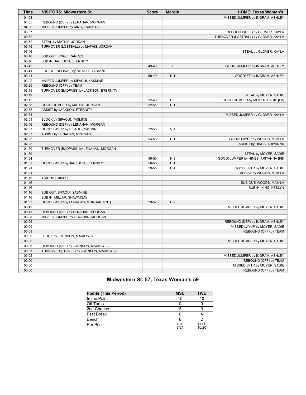| Time  | <b>VISITORS: Midwestern St.</b>         | <b>Score</b> | <b>Margin</b>  | <b>HOME: Texas Woman's</b>           |
|-------|-----------------------------------------|--------------|----------------|--------------------------------------|
| 04:08 |                                         |              |                | MISSED JUMPER by INGRAM, ASHLEY      |
| 04:05 | REBOUND (DEF) by LENAHAN, MORGAN        |              |                |                                      |
| 04:00 | MISSED JUMPER by KING, FRANCES          |              |                |                                      |
| 03:57 |                                         |              |                | REBOUND (DEF) by GLOVER, KAYLA       |
| 03:52 |                                         |              |                | TURNOVER (LOSTBALL) by GLOVER, KAYLA |
| 03:52 | STEAL by MATHIS, JORDAN                 |              |                |                                      |
| 03:46 | TURNOVER (LOSTBALL) by MATHIS, JORDAN   |              |                |                                      |
| 03:46 |                                         |              |                | STEAL by GLOVER, KAYLA               |
| 03:46 | SUB OUT: KING, FRANCES                  |              |                |                                      |
| 03:46 | SUB IN: JACKSON, ETERNITY               |              |                |                                      |
| 03:42 |                                         | 49-49        | T              | GOOD! JUMPER by INGRAM, ASHLEY       |
| 03:41 | FOUL (PERSONAL) by SIFAOUI, YASMINE     |              |                |                                      |
| 03:41 |                                         | 50-49        | H <sub>1</sub> | GOOD! FT by INGRAM, ASHLEY           |
| 03:22 | MISSED JUMPER by SIFAOUI, YASMINE       |              |                |                                      |
| 03:20 | REBOUND (OFF) by TEAM                   |              |                |                                      |
| 03:19 | TURNOVER (BADPASS) by JACKSON, ETERNITY |              |                |                                      |
| 03:19 |                                         |              |                | STEAL by MOYER, SADIE                |
| 03:12 |                                         | 52-49        | $H_3$          | GOOD! JUMPER by MOYER, SADIE [FB]    |
| 02:58 | GOOD! JUMPER by MATHIS, JORDAN          | $52 - 51$    | H <sub>1</sub> |                                      |
| 02:58 | ASSIST by JACKSON, ETERNITY             |              |                |                                      |
| 02:51 |                                         |              |                | MISSED JUMPER by GLOVER, KAYLA       |
| 02:51 | BLOCK by SIFAOUI, YASMINE               |              |                |                                      |
| 02:46 | REBOUND (DEF) by LENAHAN, MORGAN        |              |                |                                      |
| 02:37 | GOOD! LAYUP by SIFAOUI, YASMINE         | 52-53        | V <sub>1</sub> |                                      |
| 02:37 | ASSIST by LENAHAN, MORGAN               |              |                |                                      |
| 02:25 |                                         | 54-53        | H <sub>1</sub> | GOOD! LAYUP by WOODS, MA'K'LA        |
| 02:25 |                                         |              |                | ASSIST by HINES, ARIYANNA            |
| 01:59 | TURNOVER (BADPASS) by LENAHAN, MORGAN   |              |                |                                      |
| 01:59 |                                         |              |                | STEAL by MOYER, SADIE                |
| 01:54 |                                         | 56-53        | $H_3$          | GOOD! JUMPER by HINES, ARIYANNA [FB] |
| 01:32 | GOOD! LAYUP by JACKSON, ETERNITY        | 56-55        | H <sub>1</sub> |                                      |
| 01:21 |                                         | 59-55        | H4             | GOOD! 3PTR by MOYER, SADIE           |
| 01:21 |                                         |              |                | ASSIST by WOODS, MA'K'LA             |
| 01:16 | TIMEOUT 30SEC                           |              |                |                                      |
| 01:16 |                                         |              |                | SUB OUT: WOODS, MA'K'LA              |
| 01:16 |                                         |              |                | SUB IN: KING, KESLYN                 |
| 01:16 | SUB OUT: SIFAOUI, YASMINE               |              |                |                                      |
| 01:16 | SUB IN: MILLAR, SHAWNISAY               |              |                |                                      |
| 01:03 | GOOD! LAYUP by LENAHAN, MORGAN [PNT]    | 59-57        | H <sub>2</sub> |                                      |
| 00:49 |                                         |              |                | MISSED JUMPER by MOYER, SADIE        |
| 00:45 | REBOUND (DEF) by LENAHAN, MORGAN        |              |                |                                      |
| 00:28 | MISSED JUMPER by LENAHAN, MORGAN        |              |                |                                      |
| 00:25 |                                         |              |                | REBOUND (DEF) by INGRAM, ASHLEY      |
| 00:09 |                                         |              |                | MISSED LAYUP by MOYER, SADIE         |
| 00:09 |                                         |              |                | REBOUND (OFF) by TEAM                |
| 00:09 | BLOCK by JOHNSON, MARKAYLA              |              |                |                                      |
| 00:08 |                                         |              |                | MISSED JUMPER by MOYER, SADIE        |
| 00:05 | REBOUND (DEF) by JOHNSON, MARKAYLA      |              |                |                                      |
| 00:05 | TURNOVER (TRAVEL) by JOHNSON, MARKAYLA  |              |                |                                      |
| 00:02 |                                         |              |                | MISSED JUMPER by INGRAM, ASHLEY      |
| 00:00 |                                         |              |                | REBOUND (OFF) by TEAM                |
| 00:00 |                                         |              |                | MISSED 3PTR by MOYER, SADIE          |
| 00:00 |                                         |              |                | REBOUND (OFF) by TEAM                |

# **Midwestern St. 57, Texas Woman's 59**

| <b>Points (This Period)</b> | <b>MSU</b>    | <b>TWU</b>     |
|-----------------------------|---------------|----------------|
| In the Paint                | 10            | 10             |
| Off Turns                   |               |                |
| 2nd Chance                  |               |                |
| <b>Fast Break</b>           |               |                |
| Bench                       |               |                |
| Per Poss                    | 0.810<br>8/21 | 1.000<br>10/20 |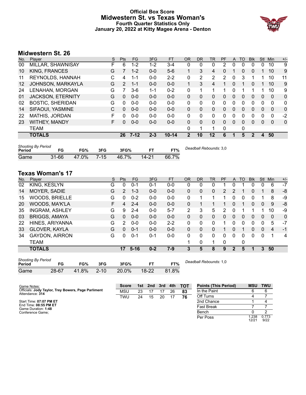# **Official Box Score Midwestern St. vs Texas Woman's Fourth Quarter Statistics Only January 20, 2022 at Kitty Magee Arena - Denton**



# **Midwestern St. 26**

| No. | Player                   | S | <b>Pts</b>    | FG.      | 3FG     | <b>FT</b> | <b>OR</b>    | D <sub>R</sub> | TR | <b>PF</b> | A | TO | <b>Blk</b> | Stl          | Min      | $+/-$ |
|-----|--------------------------|---|---------------|----------|---------|-----------|--------------|----------------|----|-----------|---|----|------------|--------------|----------|-------|
| 00  | MILLAR, SHAWNISAY        | F | 6             | 1-2      | 1-2     | $3 - 4$   | 0            | 0              | 0  | 2         | 0 | 0  | 0          | 0            | 10       | 9     |
| 10  | <b>KING, FRANCES</b>     | G |               | $1 - 2$  | $0 - 0$ | $5-6$     | $\mathbf 1$  | 3              | 4  | $\Omega$  |   | 0  | 0          |              | 10       | 9     |
| 11  | REYNOLDS, HANNAH         | С | 4             | 1-1      | $0 - 0$ | $2 - 2$   | $\mathbf{0}$ | 2              | 2  | 2         | 0 | 3  |            |              | 10       | 11    |
| 12  | JOHNSON, MARKAYLA        | G | $\mathcal{P}$ | $1 - 1$  | $0 - 0$ | $0 - 0$   | 1            | 3              | 4  | 1         | 0 |    | 0          |              | 10       | 9     |
| 24  | LENAHAN, MORGAN          | G |               | $3-6$    | $1 - 1$ | $0 - 2$   | $\mathbf{0}$ |                |    |           | 0 |    |            |              | 10       | 9     |
| 01  | <b>JACKSON, ETERNITY</b> | G | 0             | $0 - 0$  | $0 - 0$ | $0 - 0$   | $\Omega$     | 0              | 0  | $\Omega$  | 0 | 0  | 0          | 0            | $\Omega$ | 0     |
| 02  | <b>BOSTIC, SHERIDAN</b>  | G | 0             | $0 - 0$  | $0 - 0$ | $0 - 0$   | $\Omega$     | 0              | 0  | $\Omega$  | 0 | 0  | 0          | 0            | 0        | 0     |
| 14  | SIFAOUI, YASMINE         | C | 0             | $0 - 0$  | $0 - 0$ | $0 - 0$   | $\Omega$     | $\Omega$       | 0  | $\Omega$  | 0 | 0  | 0          | 0            | $\Omega$ | 0     |
| 22  | <b>MATHIS, JORDAN</b>    | F | 0             | $0 - 0$  | $0 - 0$ | $0 - 0$   | $\Omega$     | $\Omega$       | 0  | 0         | 0 | 0  | 0          | 0            | 0        | $-2$  |
| 23  | <b>WITHEY, MANDY</b>     | F | 0             | $0 - 0$  | $0 - 0$ | $0 - 0$   | $\Omega$     | 0              | 0  | $\Omega$  | 0 | 0  | 0          | 0            | 0        | 0     |
|     | <b>TEAM</b>              |   |               |          |         |           | 0            | 1              |    | 0         |   | 0  |            |              |          |       |
|     | <b>TOTALS</b>            |   | 26            | $7 - 12$ | $2 - 3$ | $10 - 14$ | $\mathbf{2}$ | 10             | 12 | 6         |   | 5  | 2          | $\mathbf{A}$ | 50       |       |
|     |                          |   |               |          |         |           |              |                |    |           |   |    |            |              |          |       |

| <b>Shooting By Period</b><br>Period | FG        | FG%   | 3FG      | 3FG%  |       | FT%   | Deadball Rebounds: 3,0 |
|-------------------------------------|-----------|-------|----------|-------|-------|-------|------------------------|
| Game                                | $31 - 66$ | 47.0% | $7 - 15$ | 46.7% | 14-21 | 66.7% |                        |

# **Texas Woman's 17**

| No. | Plaver                | S  | <b>Pts</b>     | <b>FG</b> | 3FG     | <b>FT</b> | 0R | <b>DR</b> | <b>TR</b> | <b>PF</b> | A        | TO           | <b>B</b> lk | Stl      | Min | $+/-$        |
|-----|-----------------------|----|----------------|-----------|---------|-----------|----|-----------|-----------|-----------|----------|--------------|-------------|----------|-----|--------------|
| 02  | KING, KESLYN          | G  | 0              | 0-1       | 0-1     | $0-0$     | 0  | 0         | 0         |           | 0        |              | 0           | 0        | 6   | $-7$         |
| 14  | MOYER, SADIE          | G  | $\overline{2}$ | $1 - 3$   | $0 - 0$ | $0 - 0$   | 0  | 0         | 0         | 2         | 2        |              | 0           |          | 8   | -8           |
| 15  | <b>WOODS, BRIELLE</b> | G  | <sup>0</sup>   | $0 - 2$   | $0 - 0$ | $0-0$     | 0  |           | 4         |           |          |              | 0           |          | 8   | -9           |
| 20  | WOODS, MA'K'LA        | F. | 4              | $2 - 4$   | $0 - 0$ | $0 - 0$   | 0  |           |           |           | 0        |              | 0           | 0        | 9   | -8           |
| 35  | <b>INGRAM, ASHLEY</b> | G  | 9              | $2 - 4$   | $0 - 0$ | $5 - 7$   | 2  | 3         | 5         | 2         | 0        |              |             |          | 10  | -9           |
| 03  | <b>BRIGGS, AMAYA</b>  | G  | $\Omega$       | $0 - 0$   | $0 - 0$ | $0 - 0$   | 0  | 0         | 0         | 0         | $\Omega$ | $\Omega$     | $\Omega$    | $\Omega$ | 0   | $\mathbf{0}$ |
| 22  | HINES, ARIYANNA       | G  | 2              | $0 - 0$   | $0 - 0$ | $2 - 2$   | 0  | 0         | 0         |           | 0        | 0            | 0           | 0        | 5   | -7           |
| 33  | <b>GLOVER, KAYLA</b>  | G  | 0              | $0 - 1$   | $0 - 0$ | $0 - 0$   | 0  | 0         | 0         |           | 0        |              | 0           | $\Omega$ | 4   | $-1$         |
| 34  | <b>GAYDON, AIRRON</b> | G  | U              | $0 - 1$   | 0-1     | $0-0$     | 0  | 0         | $\Omega$  | 0         | 0        | <sup>0</sup> | 0           | $\Omega$ |     | 4            |
|     | <b>TEAM</b>           |    |                |           |         |           |    | 0         | 1         | 0         |          | 0            |             |          |     |              |
|     | <b>TOTALS</b>         |    | 17             | $5 - 16$  | $0 - 2$ | 7-9       | 3  | 5         | 8         | 9         | 2        | 5            | 1           | 3        | 50  |              |

| <b>Shooting By Period</b><br>Dea |       |       |          |       |         |       |  |  |  |  |  |
|----------------------------------|-------|-------|----------|-------|---------|-------|--|--|--|--|--|
| Period                           | FG    | FG%   | 3FG      | 3FG%  | FТ      | FT%   |  |  |  |  |  |
| Game                             | 28-67 | 41.8% | $2 - 10$ | 20.0% | $18-22$ | 81.8% |  |  |  |  |  |

*Deadball Rebounds:* 1,0

| Game Notes:                                                            | <b>Score</b> |    | 1st 2nd | 3rd |    | 4th TOT | <b>Points (This Period)</b> | <b>MSU</b>    | <b>TWU</b>    |
|------------------------------------------------------------------------|--------------|----|---------|-----|----|---------|-----------------------------|---------------|---------------|
| Officials: Jody Taylor, Trey Bowers, Page Parliment<br>Attendance: 314 | MSU          | 23 |         |     | 26 | 83      | In the Paint                |               |               |
|                                                                        | <b>TWU</b>   | 24 | 15      | 20  |    | 76      | Off Turns                   |               |               |
| Start Time: 07:07 PM ET                                                |              |    |         |     |    |         | 2nd Chance                  |               |               |
| End Time: 08:55 PM ET<br>Game Duration: 1:48                           |              |    |         |     |    |         | <b>Fast Break</b>           |               |               |
| Conference Game;                                                       |              |    |         |     |    |         | Bench                       |               |               |
|                                                                        |              |    |         |     |    |         | Per Poss                    | .238<br>12/21 | 0.773<br>9/22 |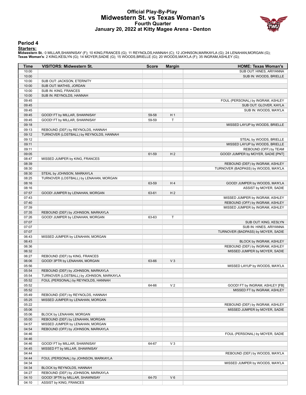# **Official Play-By-Play Midwestern St. vs Texas Woman's Fourth Quarter January 20, 2022 at Kitty Magee Arena - Denton**



#### **Period 4**

<mark>Starters:</mark><br>Midwestern St.: 0 MILLAR,SHAWNISAY (F); 10 KING,FRANCES (G); 11 REYNOLDS,HANNAH (C); 12 JOHNSON,MARKAYLA (G); 24 LENAHAN,MORGAN (G);<br>Texas Woman's: 2 KING,KESLYN (G); 14 MOYER,SADIE (G); 15 WOODS,BRIELLE (G); 2

| Time  | <b>VISITORS: Midwestern St.</b>          | <b>Score</b> | <b>Margin</b>  | <b>HOME: Texas Woman's</b>           |
|-------|------------------------------------------|--------------|----------------|--------------------------------------|
| 10:00 |                                          |              |                | SUB OUT: HINES, ARIYANNA             |
| 10:00 |                                          |              |                | SUB IN: WOODS, BRIELLE               |
| 10:00 | SUB OUT: JACKSON, ETERNITY               |              |                |                                      |
| 10:00 | SUB OUT: MATHIS, JORDAN                  |              |                |                                      |
| 10:00 | SUB IN: KING, FRANCES                    |              |                |                                      |
| 10:00 | SUB IN: REYNOLDS, HANNAH                 |              |                |                                      |
| 09:45 |                                          |              |                | FOUL (PERSONAL) by INGRAM, ASHLEY    |
| 09:45 |                                          |              |                | SUB OUT: GLOVER, KAYLA               |
| 09:45 |                                          |              |                | SUB IN: WOODS, MA'K'LA               |
| 09:45 | GOOD! FT by MILLAR, SHAWNISAY            | 59-58        | H <sub>1</sub> |                                      |
| 09:45 | GOOD! FT by MILLAR, SHAWNISAY            | 59-59        | $\mathsf T$    |                                      |
| 09:18 |                                          |              |                | MISSED LAYUP by WOODS, BRIELLE       |
| 09:13 | REBOUND (DEF) by REYNOLDS, HANNAH        |              |                |                                      |
| 09:12 | TURNOVER (LOSTBALL) by REYNOLDS, HANNAH  |              |                |                                      |
| 09:12 |                                          |              |                | STEAL by WOODS, BRIELLE              |
| 09:11 |                                          |              |                | MISSED LAYUP by WOODS, BRIELLE       |
| 09:11 |                                          |              |                | REBOUND (OFF) by TEAM                |
| 09:05 |                                          | 61-59        | H <sub>2</sub> | GOOD! JUMPER by MOYER, SADIE [PNT]   |
| 08:47 | MISSED JUMPER by KING, FRANCES           |              |                |                                      |
| 08:39 |                                          |              |                | REBOUND (DEF) by INGRAM, ASHLEY      |
| 08:30 |                                          |              |                | TURNOVER (BADPASS) by WOODS, MA'K'LA |
| 08:30 | STEAL by JOHNSON, MARKAYLA               |              |                |                                      |
| 08:25 | TURNOVER (LOSTBALL) by LENAHAN, MORGAN   |              |                |                                      |
| 08:16 |                                          | 63-59        | H4             | GOOD! JUMPER by WOODS, MA'K'LA       |
| 08:16 |                                          |              |                | ASSIST by MOYER, SADIE               |
| 07:57 | GOOD! JUMPER by LENAHAN, MORGAN          | 63-61        | H <sub>2</sub> |                                      |
| 07:43 |                                          |              |                | MISSED JUMPER by INGRAM, ASHLEY      |
| 07:40 |                                          |              |                | REBOUND (OFF) by INGRAM, ASHLEY      |
| 07:39 |                                          |              |                | MISSED JUMPER by INGRAM, ASHLEY      |
| 07:35 | REBOUND (DEF) by JOHNSON, MARKAYLA       |              |                |                                      |
| 07:26 | GOOD! JUMPER by LENAHAN, MORGAN          | 63-63        | T              |                                      |
| 07:07 |                                          |              |                | SUB OUT: KING, KESLYN                |
| 07:07 |                                          |              |                | SUB IN: HINES, ARIYANNA              |
| 07:07 |                                          |              |                | TURNOVER (BADPASS) by MOYER, SADIE   |
| 06:43 | MISSED JUMPER by LENAHAN, MORGAN         |              |                |                                      |
| 06:43 |                                          |              |                | BLOCK by INGRAM, ASHLEY              |
| 06:36 |                                          |              |                | REBOUND (DEF) by INGRAM, ASHLEY      |
| 06:32 |                                          |              |                | MISSED JUMPER by MOYER, SADIE        |
| 06:27 | REBOUND (DEF) by KING, FRANCES           |              |                |                                      |
| 06:06 | GOOD! 3PTR by LENAHAN, MORGAN            | 63-66        | $V_3$          |                                      |
| 05:56 |                                          |              |                | MISSED LAYUP by WOODS, MA'K'LA       |
| 05:54 | REBOUND (DEF) by JOHNSON, MARKAYLA       |              |                |                                      |
| 05:54 | TURNOVER (LOSTBALL) by JOHNSON, MARKAYLA |              |                |                                      |
| 05:52 | FOUL (PERSONAL) by REYNOLDS, HANNAH      |              |                |                                      |
| 05:52 |                                          | 64-66        | V <sub>2</sub> | GOOD! FT by INGRAM, ASHLEY [FB]      |
| 05:52 |                                          |              |                | MISSED FT by INGRAM, ASHLEY          |
| 05:49 | REBOUND (DEF) by REYNOLDS, HANNAH        |              |                |                                      |
| 05:25 | MISSED JUMPER by LENAHAN, MORGAN         |              |                |                                      |
| 05:22 |                                          |              |                | REBOUND (DEF) by INGRAM, ASHLEY      |
| 05:06 |                                          |              |                | MISSED JUMPER by MOYER, SADIE        |
| 05:06 | BLOCK by LENAHAN, MORGAN                 |              |                |                                      |
| 05:00 | REBOUND (DEF) by LENAHAN, MORGAN         |              |                |                                      |
| 04:57 | MISSED JUMPER by LENAHAN, MORGAN         |              |                |                                      |
| 04:54 | REBOUND (OFF) by JOHNSON, MARKAYLA       |              |                |                                      |
| 04:46 |                                          |              |                | FOUL (PERSONAL) by MOYER, SADIE      |
| 04:46 |                                          |              |                |                                      |
| 04:46 | GOOD! FT by MILLAR, SHAWNISAY            | 64-67        | $V_3$          |                                      |
| 04:45 | MISSED FT by MILLAR, SHAWNISAY           |              |                |                                      |
| 04:44 |                                          |              |                | REBOUND (DEF) by WOODS, MA'K'LA      |
| 04:44 | FOUL (PERSONAL) by JOHNSON, MARKAYLA     |              |                |                                      |
| 04:34 |                                          |              |                | MISSED JUMPER by WOODS, MA'K'LA      |
| 04:34 | BLOCK by REYNOLDS, HANNAH                |              |                |                                      |
| 04:27 | REBOUND (DEF) by JOHNSON, MARKAYLA       |              |                |                                      |
| 04:10 | GOOD! 3PTR by MILLAR, SHAWNISAY          | 64-70        | $V_6$          |                                      |
| 04:10 | ASSIST by KING, FRANCES                  |              |                |                                      |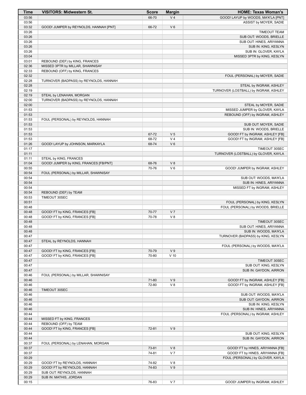| <b>Time</b>    | <b>VISITORS: Midwestern St.</b>                              | <b>Score</b>   | <b>Margin</b>  | <b>HOME: Texas Woman's</b>                                        |
|----------------|--------------------------------------------------------------|----------------|----------------|-------------------------------------------------------------------|
| 03:56          |                                                              | 66-70          | V <sub>4</sub> | GOOD! LAYUP by WOODS, MA'K'LA [PNT]                               |
| 03:56          |                                                              |                |                | ASSIST by MOYER, SADIE                                            |
| 03:32          | GOOD! JUMPER by REYNOLDS, HANNAH [PNT]                       | 66-72          | $V_6$          |                                                                   |
| 03:26<br>03:26 |                                                              |                |                | <b>TIMEOUT TEAM</b><br>SUB OUT: WOODS, BRIELLE                    |
| 03:26          |                                                              |                |                | SUB OUT: HINES, ARIYANNA                                          |
| 03:26          |                                                              |                |                | SUB IN: KING, KESLYN                                              |
| 03:26          |                                                              |                |                | SUB IN: GLOVER, KAYLA                                             |
| 03:04          |                                                              |                |                | MISSED 3PTR by KING, KESLYN                                       |
| 03:01          | REBOUND (DEF) by KING, FRANCES                               |                |                |                                                                   |
| 02:36          | MISSED 3PTR by MILLAR, SHAWNISAY                             |                |                |                                                                   |
| 02:33<br>02:32 | REBOUND (OFF) by KING, FRANCES                               |                |                | FOUL (PERSONAL) by MOYER, SADIE                                   |
| 02:28          | TURNOVER (BADPASS) by REYNOLDS, HANNAH                       |                |                |                                                                   |
| 02:28          |                                                              |                |                | STEAL by INGRAM, ASHLEY                                           |
| 02:19          |                                                              |                |                | TURNOVER (LOSTBALL) by INGRAM, ASHLEY                             |
| 02:19          | STEAL by LENAHAN, MORGAN                                     |                |                |                                                                   |
| 02:00          | TURNOVER (BADPASS) by REYNOLDS, HANNAH                       |                |                |                                                                   |
| 02:00          |                                                              |                |                | STEAL by MOYER, SADIE                                             |
| 01:53<br>01:53 |                                                              |                |                | MISSED JUMPER by GLOVER, KAYLA<br>REBOUND (OFF) by INGRAM, ASHLEY |
| 01:53          | FOUL (PERSONAL) by REYNOLDS, HANNAH                          |                |                |                                                                   |
| 01:53          |                                                              |                |                | SUB OUT: MOYER, SADIE                                             |
| 01:53          |                                                              |                |                | SUB IN: WOODS, BRIELLE                                            |
| 01:53          |                                                              | 67-72          | V <sub>5</sub> | GOOD! FT by INGRAM, ASHLEY [FB]                                   |
| 01:53          |                                                              | 68-72          | V <sub>4</sub> | GOOD! FT by INGRAM, ASHLEY [FB]                                   |
| 01:26          | GOOD! LAYUP by JOHNSON, MARKAYLA                             | 68-74          | $V_6$          |                                                                   |
| 01:17          |                                                              |                |                | TIMEOUT 30SEC                                                     |
| 01:11<br>01:11 | STEAL by KING, FRANCES                                       |                |                | TURNOVER (LOSTBALL) by GLOVER, KAYLA                              |
| 01:04          | GOOD! JUMPER by KING, FRANCES [FB/PNT]                       | 68-76          | V8             |                                                                   |
| 00:55          |                                                              | 70-76          | $V_6$          | GOOD! JUMPER by INGRAM, ASHLEY                                    |
| 00:54          | FOUL (PERSONAL) by MILLAR, SHAWNISAY                         |                |                |                                                                   |
| 00:54          |                                                              |                |                | SUB OUT: WOODS, MA'K'LA                                           |
| 00:54          |                                                              |                |                | SUB IN: HINES, ARIYANNA                                           |
| 00:54          |                                                              |                |                | MISSED FT by INGRAM, ASHLEY                                       |
| 00:54<br>00:53 | REBOUND (DEF) by TEAM<br>TIMEOUT 30SEC                       |                |                |                                                                   |
| 00:51          |                                                              |                |                | FOUL (PERSONAL) by KING, KESLYN                                   |
| 00:48          |                                                              |                |                | FOUL (PERSONAL) by WOODS, BRIELLE                                 |
| 00:48          | GOOD! FT by KING, FRANCES [FB]                               | 70-77          | V <sub>7</sub> |                                                                   |
| 00:48          | GOOD! FT by KING, FRANCES [FB]                               | 70-78          | V 8            |                                                                   |
| 00:48          |                                                              |                |                | TIMEOUT 30SEC                                                     |
| 00:48          |                                                              |                |                | SUB OUT: HINES, ARIYANNA                                          |
| 00:48<br>00:47 |                                                              |                |                | SUB IN: WOODS, MA'K'LA<br>TURNOVER (BADPASS) by KING, KESLYN      |
| 00:47          | STEAL by REYNOLDS, HANNAH                                    |                |                |                                                                   |
| 00:47          |                                                              |                |                | FOUL (PERSONAL) by WOODS, MA'K'LA                                 |
| 00:47          | GOOD! FT by KING, FRANCES [FB]                               | 70-79          | V <sub>9</sub> |                                                                   |
| 00:47          | GOOD! FT by KING, FRANCES [FB]                               | 70-80          | $V$ 10         |                                                                   |
| 00:47          |                                                              |                |                | TIMEOUT 30SEC                                                     |
| 00:47          |                                                              |                |                | SUB OUT: KING, KESLYN                                             |
| 00:47          |                                                              |                |                | SUB IN: GAYDON, AIRRON                                            |
| 00:46<br>00:46 | FOUL (PERSONAL) by MILLAR, SHAWNISAY                         | 71-80          | V <sub>9</sub> | GOOD! FT by INGRAM, ASHLEY [FB]                                   |
| 00:46          |                                                              | 72-80          | V8             | GOOD! FT by INGRAM, ASHLEY [FB]                                   |
| 00:46          | TIMEOUT 30SEC                                                |                |                |                                                                   |
| 00:46          |                                                              |                |                | SUB OUT: WOODS, MA'K'LA                                           |
| 00:46          |                                                              |                |                | SUB OUT: GAYDON, AIRRON                                           |
| 00:46          |                                                              |                |                | SUB IN: KING, KESLYN                                              |
| 00:46          |                                                              |                |                | SUB IN: HINES, ARIYANNA                                           |
| 00:44<br>00:44 | MISSED FT by KING, FRANCES                                   |                |                | FOUL (PERSONAL) by INGRAM, ASHLEY                                 |
| 00:44          | REBOUND (OFF) by TEAM                                        |                |                |                                                                   |
| 00:44          | GOOD! FT by KING, FRANCES [FB]                               | 72-81          | V <sub>9</sub> |                                                                   |
| 00:44          |                                                              |                |                | SUB OUT: KING, KESLYN                                             |
| 00:44          |                                                              |                |                | SUB IN: GAYDON, AIRRON                                            |
| 00:37          | FOUL (PERSONAL) by LENAHAN, MORGAN                           |                |                |                                                                   |
| 00:37          |                                                              | 73-81          | V8             | GOOD! FT by HINES, ARIYANNA [FB]                                  |
| 00:37          |                                                              | 74-81          | V <sub>7</sub> | GOOD! FT by HINES, ARIYANNA [FB]                                  |
| 00:29          |                                                              |                | V8             | FOUL (PERSONAL) by GLOVER, KAYLA                                  |
| 00:29<br>00:29 | GOOD! FT by REYNOLDS, HANNAH<br>GOOD! FT by REYNOLDS, HANNAH | 74-82<br>74-83 | V <sub>9</sub> |                                                                   |
| 00:29          | SUB OUT: REYNOLDS, HANNAH                                    |                |                |                                                                   |
| 00:29          | SUB IN: MATHIS, JORDAN                                       |                |                |                                                                   |
| 00:15          |                                                              | 76-83          | V <sub>7</sub> | GOOD! JUMPER by INGRAM, ASHLEY                                    |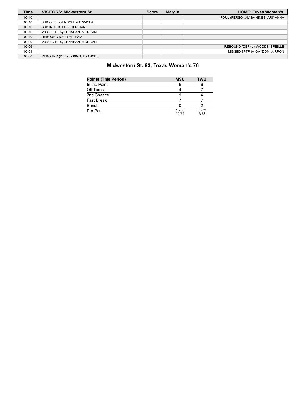| <b>Time</b> | <b>VISITORS: Midwestern St.</b> | <b>Score</b> | <b>Margin</b> | <b>HOME: Texas Woman's</b>         |
|-------------|---------------------------------|--------------|---------------|------------------------------------|
| 00:10       |                                 |              |               | FOUL (PERSONAL) by HINES, ARIYANNA |
| 00:10       | SUB OUT: JOHNSON, MARKAYLA      |              |               |                                    |
| 00:10       | SUB IN: BOSTIC, SHERIDAN        |              |               |                                    |
| 00:10       | MISSED FT by LENAHAN, MORGAN    |              |               |                                    |
| 00:10       | REBOUND (OFF) by TEAM           |              |               |                                    |
| 00:09       | MISSED FT by LENAHAN, MORGAN    |              |               |                                    |
| 00:06       |                                 |              |               | REBOUND (DEF) by WOODS, BRIELLE    |
| 00:01       |                                 |              |               | MISSED 3PTR by GAYDON, AIRRON      |
| 00:00       | REBOUND (DEF) by KING, FRANCES  |              |               |                                    |

# **Midwestern St. 83, Texas Woman's 76**

| <b>Points (This Period)</b> | <b>MSU</b>     | TWU           |
|-----------------------------|----------------|---------------|
| In the Paint                |                |               |
| Off Turns                   |                |               |
| 2nd Chance                  |                |               |
| <b>Fast Break</b>           |                |               |
| Bench                       |                |               |
| Per Poss                    | 1.238<br>12/21 | 0.773<br>9/22 |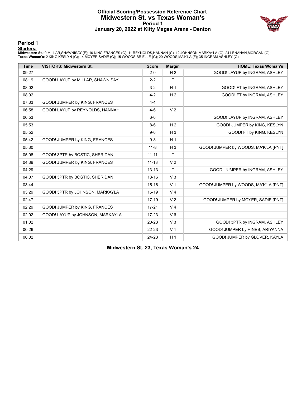#### **Official Scoring/Possession Reference Chart Midwestern St. vs Texas Woman's Period 1 January 20, 2022 at Kitty Magee Arena - Denton**



**Period 1**

#### **Starters:**

**Midwestern St.**: 0 MILLAR,SHAWNISAY (F); 10 KING,FRANCES (G); 11 REYNOLDS,HANNAH (C); 12 JOHNSON,MARKAYLA (G); 24 LENAHAN,MORGAN (G);<br>**Texas Woman's**: 2 KING,KESLYN (G); 14 MOYER,SADIE (G); 15 WOODS,BRIELLE (G); 20 WOODS,

| <b>Time</b> | <b>VISITORS: Midwestern St.</b>  | <b>Score</b> | <b>Margin</b>  | <b>HOME: Texas Woman's</b>           |
|-------------|----------------------------------|--------------|----------------|--------------------------------------|
| 09:27       |                                  | $2 - 0$      | H <sub>2</sub> | GOOD! LAYUP by INGRAM, ASHLEY        |
| 08:19       | GOOD! LAYUP by MILLAR, SHAWNISAY | $2 - 2$      | $\mathsf{T}$   |                                      |
| 08:02       |                                  | $3 - 2$      | H <sub>1</sub> | GOOD! FT by INGRAM, ASHLEY           |
| 08:02       |                                  | $4 - 2$      | H <sub>2</sub> | GOOD! FT by INGRAM, ASHLEY           |
| 07:33       | GOOD! JUMPER by KING, FRANCES    | $4 - 4$      | T.             |                                      |
| 06:58       | GOOD! LAYUP by REYNOLDS, HANNAH  | $4-6$        | V <sub>2</sub> |                                      |
| 06:53       |                                  | $6-6$        | T              | GOOD! LAYUP by INGRAM, ASHLEY        |
| 05:53       |                                  | $8-6$        | H <sub>2</sub> | GOOD! JUMPER by KING, KESLYN         |
| 05:52       |                                  | $9-6$        | $H_3$          | GOOD! FT by KING, KESLYN             |
| 05:42       | GOOD! JUMPER by KING, FRANCES    | $9-8$        | H <sub>1</sub> |                                      |
| 05:30       |                                  | $11 - 8$     | $H_3$          | GOOD! JUMPER by WOODS, MA'K'LA [PNT] |
| 05:08       | GOOD! 3PTR by BOSTIC, SHERIDAN   | $11 - 11$    | T              |                                      |
| 04:39       | GOOD! JUMPER by KING, FRANCES    | $11 - 13$    | V <sub>2</sub> |                                      |
| 04:29       |                                  | $13 - 13$    | $\mathsf{T}$   | GOOD! JUMPER by INGRAM, ASHLEY       |
| 04:07       | GOOD! 3PTR by BOSTIC, SHERIDAN   | $13 - 16$    | $V_3$          |                                      |
| 03:44       |                                  | $15 - 16$    | V <sub>1</sub> | GOOD! JUMPER by WOODS, MA'K'LA [PNT] |
| 03:29       | GOOD! 3PTR by JOHNSON, MARKAYLA  | $15 - 19$    | V <sub>4</sub> |                                      |
| 02:47       |                                  | $17-19$      | V <sub>2</sub> | GOOD! JUMPER by MOYER, SADIE [PNT]   |
| 02:29       | GOOD! JUMPER by KING, FRANCES    | $17 - 21$    | V <sub>4</sub> |                                      |
| 02:02       | GOOD! LAYUP by JOHNSON, MARKAYLA | $17-23$      | $V_6$          |                                      |
| 01:02       |                                  | 20-23        | V <sub>3</sub> | GOOD! 3PTR by INGRAM, ASHLEY         |
| 00:26       |                                  | 22-23        | V <sub>1</sub> | GOOD! JUMPER by HINES, ARIYANNA      |
| 00:02       |                                  | 24-23        | H <sub>1</sub> | GOOD! JUMPER by GLOVER, KAYLA        |

**Midwestern St. 23, Texas Woman's 24**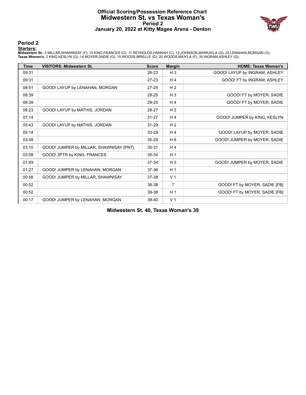#### **Official Scoring/Possession Reference Chart Midwestern St. vs Texas Woman's Period 2 January 20, 2022 at Kitty Magee Arena - Denton**



**Period 2**

#### **Starters:**

**Midwestern St.**: 0 MILLAR,SHAWNISAY (F); 10 KING,FRANCES (G); 11 REYNOLDS,HANNAH (C); 12 JOHNSON,MARKAYLA (G); 24 LENAHAN,MORGAN (G);<br>**Texas Woman's**: 2 KING,KESLYN (G); 14 MOYER,SADIE (G); 15 WOODS,BRIELLE (G); 20 WOODS,

| <b>Time</b> | <b>VISITORS: Midwestern St.</b>         | <b>Score</b> | <b>Margin</b>  | <b>HOME: Texas Woman's</b>    |
|-------------|-----------------------------------------|--------------|----------------|-------------------------------|
| 09:31       |                                         | 26-23        | $H_3$          | GOOD! LAYUP by INGRAM, ASHLEY |
| 09:31       |                                         | $27-23$      | H <sub>4</sub> | GOOD! FT by INGRAM, ASHLEY    |
| 08:51       | GOOD! LAYUP by LENAHAN, MORGAN          | $27 - 25$    | H <sub>2</sub> |                               |
| 08:39       |                                         | 28-25        | $H_3$          | GOOD! FT by MOYER, SADIE      |
| 08:39       |                                         | 29-25        | H <sub>4</sub> | GOOD! FT by MOYER, SADIE      |
| 08:23       | GOOD! LAYUP by MATHIS, JORDAN           | 29-27        | H <sub>2</sub> |                               |
| 07:14       |                                         | $31 - 27$    | H <sub>4</sub> | GOOD! JUMPER by KING, KESLYN  |
| 05:43       | GOOD! LAYUP by MATHIS, JORDAN           | $31 - 29$    | H <sub>2</sub> |                               |
| 05:14       |                                         | 33-29        | H <sub>4</sub> | GOOD! LAYUP by MOYER, SADIE   |
| 03:58       |                                         | 35-29        | H <sub>6</sub> | GOOD! JUMPER by MOYER, SADIE  |
| 03:10       | GOOD! JUMPER by MILLAR, SHAWNISAY [PNT] | 35-31        | H4             |                               |
| 03:08       | GOOD! 3PTR by KING, FRANCES             | 35-34        | H <sub>1</sub> |                               |
| 01:49       |                                         | 37-34        | $H_3$          | GOOD! JUMPER by MOYER, SADIE  |
| 01:27       | GOOD! JUMPER by LENAHAN, MORGAN         | 37-36        | H <sub>1</sub> |                               |
| 00:58       | GOOD! JUMPER by MILLAR, SHAWNISAY       | 37-38        | V <sub>1</sub> |                               |
| 00:52       |                                         | 38-38        | T              | GOOD! FT by MOYER, SADIE [FB] |
| 00:52       |                                         | 39-38        | H <sub>1</sub> | GOOD! FT by MOYER, SADIE [FB] |
| 00:17       | GOOD! JUMPER by LENAHAN, MORGAN         | 39-40        | V <sub>1</sub> |                               |

**Midwestern St. 40, Texas Woman's 39**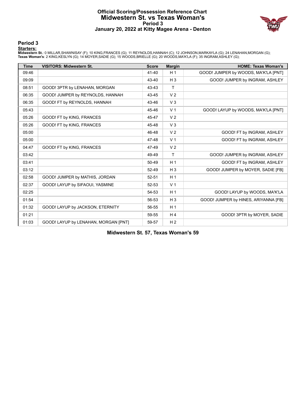#### **Official Scoring/Possession Reference Chart Midwestern St. vs Texas Woman's Period 3 January 20, 2022 at Kitty Magee Arena - Denton**



**Period 3**

#### **Starters:**

**Midwestern St.**: 0 MILLAR,SHAWNISAY (F); 10 KING,FRANCES (G); 11 REYNOLDS,HANNAH (C); 12 JOHNSON,MARKAYLA (G); 24 LENAHAN,MORGAN (G);<br>**Texas Woman's**: 2 KING,KESLYN (G); 14 MOYER,SADIE (G); 15 WOODS,BRIELLE (G); 20 WOODS,

| <b>Time</b> | <b>VISITORS: Midwestern St.</b>      | <b>Score</b> | <b>Margin</b>  | <b>HOME: Texas Woman's</b>           |
|-------------|--------------------------------------|--------------|----------------|--------------------------------------|
| 09:46       |                                      | 41-40        | H <sub>1</sub> | GOOD! JUMPER by WOODS, MA'K'LA [PNT] |
| 09:09       |                                      | 43-40        | $H_3$          | GOOD! JUMPER by INGRAM, ASHLEY       |
| 08:51       | GOOD! 3PTR by LENAHAN, MORGAN        | 43-43        | $\mathsf{T}$   |                                      |
| 06:35       | GOOD! JUMPER by REYNOLDS, HANNAH     | 43-45        | V <sub>2</sub> |                                      |
| 06:35       | GOOD! FT by REYNOLDS, HANNAH         | 43-46        | V <sub>3</sub> |                                      |
| 05:43       |                                      | 45-46        | V <sub>1</sub> | GOOD! LAYUP by WOODS, MA'K'LA [PNT]  |
| 05:26       | GOOD! FT by KING, FRANCES            | 45-47        | V <sub>2</sub> |                                      |
| 05:26       | GOOD! FT by KING, FRANCES            | 45-48        | V <sub>3</sub> |                                      |
| 05:00       |                                      | 46-48        | V <sub>2</sub> | GOOD! FT by INGRAM, ASHLEY           |
| 05:00       |                                      | 47-48        | V <sub>1</sub> | GOOD! FT by INGRAM, ASHLEY           |
| 04:47       | GOOD! FT by KING, FRANCES            | 47-49        | V <sub>2</sub> |                                      |
| 03:42       |                                      | 49-49        | T              | GOOD! JUMPER by INGRAM, ASHLEY       |
| 03:41       |                                      | 50-49        | H <sub>1</sub> | GOOD! FT by INGRAM, ASHLEY           |
| 03:12       |                                      | 52-49        | $H_3$          | GOOD! JUMPER by MOYER, SADIE [FB]    |
| 02:58       | GOOD! JUMPER by MATHIS, JORDAN       | 52-51        | H <sub>1</sub> |                                      |
| 02:37       | GOOD! LAYUP by SIFAOUI, YASMINE      | 52-53        | V <sub>1</sub> |                                      |
| 02:25       |                                      | 54-53        | H <sub>1</sub> | GOOD! LAYUP by WOODS, MA'K'LA        |
| 01:54       |                                      | 56-53        | $H_3$          | GOOD! JUMPER by HINES, ARIYANNA [FB] |
| 01:32       | GOOD! LAYUP by JACKSON, ETERNITY     | 56-55        | H <sub>1</sub> |                                      |
| 01:21       |                                      | 59-55        | H <sub>4</sub> | GOOD! 3PTR by MOYER, SADIE           |
| 01:03       | GOOD! LAYUP by LENAHAN, MORGAN [PNT] | 59-57        | H <sub>2</sub> |                                      |

**Midwestern St. 57, Texas Woman's 59**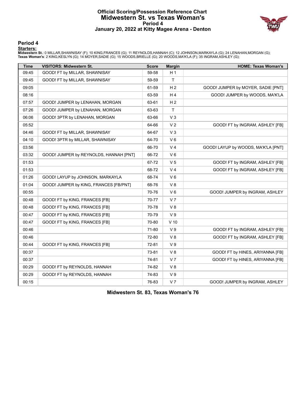#### **Official Scoring/Possession Reference Chart Midwestern St. vs Texas Woman's Period 4 January 20, 2022 at Kitty Magee Arena - Denton**



#### **Period 4**

#### **Starters:**

**Midwestern St.**: 0 MILLAR,SHAWNISAY (F); 10 KING,FRANCES (G); 11 REYNOLDS,HANNAH (C); 12 JOHNSON,MARKAYLA (G); 24 LENAHAN,MORGAN (G);<br>**Texas Woman's**: 2 KING,KESLYN (G); 14 MOYER,SADIE (G); 15 WOODS,BRIELLE (G); 20 WOODS,

| <b>Time</b> | <b>VISITORS: Midwestern St.</b>        | <b>Score</b> | <b>Margin</b>  | <b>HOME: Texas Woman's</b>          |
|-------------|----------------------------------------|--------------|----------------|-------------------------------------|
| 09:45       | GOOD! FT by MILLAR, SHAWNISAY          | 59-58        | H <sub>1</sub> |                                     |
| 09:45       | GOOD! FT by MILLAR, SHAWNISAY          | 59-59        | $\mathsf{T}$   |                                     |
| 09:05       |                                        | 61-59        | H <sub>2</sub> | GOOD! JUMPER by MOYER, SADIE [PNT]  |
| 08:16       |                                        | 63-59        | H <sub>4</sub> | GOOD! JUMPER by WOODS, MA'K'LA      |
| 07:57       | GOOD! JUMPER by LENAHAN, MORGAN        | 63-61        | H <sub>2</sub> |                                     |
| 07:26       | GOOD! JUMPER by LENAHAN, MORGAN        | 63-63        | $\mathsf{T}$   |                                     |
| 06:06       | GOOD! 3PTR by LENAHAN, MORGAN          | 63-66        | V <sub>3</sub> |                                     |
| 05:52       |                                        | 64-66        | V <sub>2</sub> | GOOD! FT by INGRAM, ASHLEY [FB]     |
| 04:46       | GOOD! FT by MILLAR, SHAWNISAY          | 64-67        | V <sub>3</sub> |                                     |
| 04:10       | GOOD! 3PTR by MILLAR, SHAWNISAY        | 64-70        | $V_6$          |                                     |
| 03:56       |                                        | 66-70        | V <sub>4</sub> | GOOD! LAYUP by WOODS, MA'K'LA [PNT] |
| 03:32       | GOOD! JUMPER by REYNOLDS, HANNAH [PNT] | 66-72        | $V_6$          |                                     |
| 01:53       |                                        | 67-72        | V <sub>5</sub> | GOOD! FT by INGRAM, ASHLEY [FB]     |
| 01:53       |                                        | 68-72        | V <sub>4</sub> | GOOD! FT by INGRAM, ASHLEY [FB]     |
| 01:26       | GOOD! LAYUP by JOHNSON, MARKAYLA       | 68-74        | $V_6$          |                                     |
| 01:04       | GOOD! JUMPER by KING, FRANCES [FB/PNT] | 68-76        | V8             |                                     |
| 00:55       |                                        | 70-76        | $V_6$          | GOOD! JUMPER by INGRAM, ASHLEY      |
| 00:48       | GOOD! FT by KING, FRANCES [FB]         | 70-77        | V <sub>7</sub> |                                     |
| 00:48       | GOOD! FT by KING, FRANCES [FB]         | 70-78        | V8             |                                     |
| 00:47       | GOOD! FT by KING, FRANCES [FB]         | 70-79        | V <sub>9</sub> |                                     |
| 00:47       | GOOD! FT by KING, FRANCES [FB]         | 70-80        | $V$ 10         |                                     |
| 00:46       |                                        | 71-80        | V <sub>9</sub> | GOOD! FT by INGRAM, ASHLEY [FB]     |
| 00:46       |                                        | 72-80        | V8             | GOOD! FT by INGRAM, ASHLEY [FB]     |
| 00:44       | GOOD! FT by KING, FRANCES [FB]         | 72-81        | V <sub>9</sub> |                                     |
| 00:37       |                                        | 73-81        | V8             | GOOD! FT by HINES, ARIYANNA [FB]    |
| 00:37       |                                        | 74-81        | V <sub>7</sub> | GOOD! FT by HINES, ARIYANNA [FB]    |
| 00:29       | GOOD! FT by REYNOLDS, HANNAH           | 74-82        | V8             |                                     |
| 00:29       | GOOD! FT by REYNOLDS, HANNAH           | 74-83        | V <sub>9</sub> |                                     |
| 00:15       |                                        | 76-83        | V <sub>7</sub> | GOOD! JUMPER by INGRAM, ASHLEY      |

**Midwestern St. 83, Texas Woman's 76**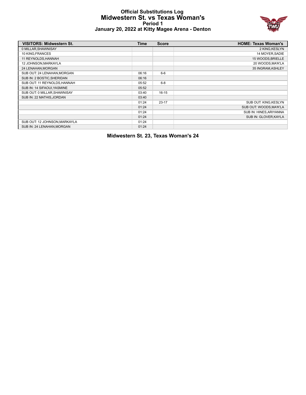# **Official Substitutions Log Midwestern St. vs Texas Woman's Period 1 January 20, 2022 at Kitty Magee Arena - Denton**



| <b>VISITORS: Midwestern St.</b> | <b>Time</b> | <b>Score</b> | <b>HOME: Texas Woman's</b> |
|---------------------------------|-------------|--------------|----------------------------|
| 0 MILLAR, SHAWNISAY             |             |              | 2 KING, KESLYN             |
| 10 KING, FRANCES                |             |              | 14 MOYER, SADIE            |
| 11 REYNOLDS, HANNAH             |             |              | 15 WOODS, BRIELLE          |
| 12 JOHNSON, MARKAYLA            |             |              | 20 WOODS, MA'K'LA          |
| 24 LENAHAN, MORGAN              |             |              | 35 INGRAM, ASHLEY          |
| SUB OUT: 24 LENAHAN, MORGAN     | 06:16       | $6 - 6$      |                            |
| SUB IN: 2 BOSTIC, SHERIDAN      | 06:16       |              |                            |
| SUB OUT: 11 REYNOLDS.HANNAH     | 05:52       | $6 - 8$      |                            |
| SUB IN: 14 SIFAOUI, YASMINE     | 05:52       |              |                            |
| SUB OUT: 0 MILLAR, SHAWNISAY    | 03:40       | $16 - 15$    |                            |
| SUB IN: 22 MATHIS, JORDAN       | 03:40       |              |                            |
|                                 | 01:24       | $23 - 17$    | SUB OUT: KING, KESLYN      |
|                                 | 01:24       |              | SUB OUT: WOODS, MA'K'LA    |
|                                 | 01:24       |              | SUB IN: HINES, ARIYANNA    |
|                                 | 01:24       |              | SUB IN: GLOVER.KAYLA       |
| SUB OUT: 12 JOHNSON, MARKAYLA   | 01:24       |              |                            |
| SUB IN: 24 LENAHAN, MORGAN      | 01:24       |              |                            |

**Midwestern St. 23, Texas Woman's 24**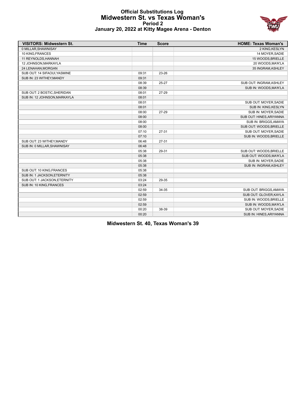# **Official Substitutions Log Midwestern St. vs Texas Woman's Period 2 January 20, 2022 at Kitty Magee Arena - Denton**



| <b>VISITORS: Midwestern St.</b> | <b>Time</b> | <b>Score</b> | <b>HOME: Texas Woman's</b> |
|---------------------------------|-------------|--------------|----------------------------|
| 0 MILLAR, SHAWNISAY             |             |              | 2 KING, KESLYN             |
| 10 KING, FRANCES                |             |              | 14 MOYER, SADIE            |
| 11 REYNOLDS, HANNAH             |             |              | 15 WOODS, BRIELLE          |
| 12 JOHNSON, MARKAYLA            |             |              | 20 WOODS, MA'K'LA          |
| 24 LENAHAN, MORGAN              |             |              | 35 INGRAM, ASHLEY          |
| SUB OUT: 14 SIFAOUI, YASMINE    | 09:31       | 23-26        |                            |
| SUB IN: 23 WITHEY, MANDY        | 09:31       |              |                            |
|                                 | 08:39       | 25-27        | SUB OUT: INGRAM, ASHLEY    |
|                                 | 08:39       |              | SUB IN: WOODS, MA'K'LA     |
| SUB OUT: 2 BOSTIC, SHERIDAN     | 08:01       | 27-29        |                            |
| SUB IN: 12 JOHNSON, MARKAYLA    | 08:01       |              |                            |
|                                 | 08:01       |              | SUB OUT: MOYER, SADIE      |
|                                 | 08:01       |              | SUB IN: KING, KESLYN       |
|                                 | 08:00       | 27-29        | SUB IN: MOYER, SADIE       |
|                                 | 08:00       |              | SUB OUT: HINES, ARIYANNA   |
|                                 | 08:00       |              | SUB IN: BRIGGS, AMAYA      |
|                                 | 08:00       |              | SUB OUT: WOODS, BRIELLE    |
|                                 | 07:10       | $27 - 31$    | SUB OUT: MOYER, SADIE      |
|                                 | 07:10       |              | SUB IN: WOODS, BRIELLE     |
| SUB OUT: 23 WITHEY, MANDY       | 06:48       | $27 - 31$    |                            |
| SUB IN: 0 MILLAR, SHAWNISAY     | 06:48       |              |                            |
|                                 | 05:38       | 29-31        | SUB OUT: WOODS, BRIELLE    |
|                                 | 05:38       |              | SUB OUT: WOODS, MA'K'LA    |
|                                 | 05:38       |              | SUB IN: MOYER, SADIE       |
|                                 | 05:38       |              | SUB IN: INGRAM, ASHLEY     |
| SUB OUT: 10 KING, FRANCES       | 05:38       |              |                            |
| SUB IN: 1 JACKSON, ETERNITY     | 05:38       |              |                            |
| SUB OUT: 1 JACKSON, ETERNITY    | 03:24       | 29-35        |                            |
| SUB IN: 10 KING, FRANCES        | 03:24       |              |                            |
|                                 | 02:59       | 34-35        | SUB OUT: BRIGGS, AMAYA     |
|                                 | 02:59       |              | SUB OUT: GLOVER, KAYLA     |
|                                 | 02:59       |              | SUB IN: WOODS, BRIELLE     |
|                                 | 02:59       |              | SUB IN: WOODS, MA'K'LA     |
|                                 | 00:20       | 38-39        | SUB OUT: MOYER, SADIE      |
|                                 | 00:20       |              | SUB IN: HINES, ARIYANNA    |

**Midwestern St. 40, Texas Woman's 39**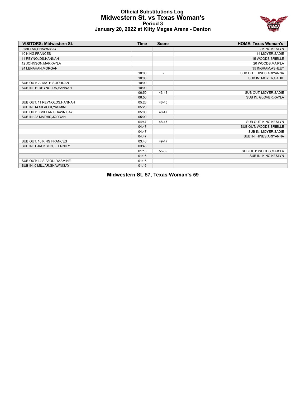# **Official Substitutions Log Midwestern St. vs Texas Woman's Period 3 January 20, 2022 at Kitty Magee Arena - Denton**



| <b>VISITORS: Midwestern St.</b> | <b>Time</b> | <b>Score</b>             | <b>HOME: Texas Woman's</b> |
|---------------------------------|-------------|--------------------------|----------------------------|
| 0 MILLAR, SHAWNISAY             |             |                          | 2 KING, KESLYN             |
| 10 KING.FRANCES                 |             |                          | 14 MOYER.SADIE             |
| 11 REYNOLDS, HANNAH             |             |                          | 15 WOODS, BRIELLE          |
| 12 JOHNSON, MARKAYLA            |             |                          | 20 WOODS, MA'K'LA          |
| 24 LENAHAN.MORGAN               |             |                          | 35 INGRAM.ASHLEY           |
|                                 | 10:00       | $\overline{\phantom{a}}$ | SUB OUT: HINES, ARIYANNA   |
|                                 | 10:00       |                          | SUB IN: MOYER, SADIE       |
| SUB OUT: 22 MATHIS, JORDAN      | 10:00       |                          |                            |
| SUB IN: 11 REYNOLDS, HANNAH     | 10:00       |                          |                            |
|                                 | 06:50       | 43-43                    | SUB OUT: MOYER, SADIE      |
|                                 | 06:50       |                          | SUB IN: GLOVER, KAYLA      |
| SUB OUT: 11 REYNOLDS, HANNAH    | 05:26       | 46-45                    |                            |
| SUB IN: 14 SIFAOUI, YASMINE     | 05:26       |                          |                            |
| SUB OUT: 0 MILLAR.SHAWNISAY     | 05:00       | 48-47                    |                            |
| SUB IN: 22 MATHIS, JORDAN       | 05:00       |                          |                            |
|                                 | 04:47       | 48-47                    | SUB OUT: KING, KESLYN      |
|                                 | 04:47       |                          | SUB OUT: WOODS, BRIELLE    |
|                                 | 04:47       |                          | SUB IN: MOYER, SADIE       |
|                                 | 04:47       |                          | SUB IN: HINES, ARIYANNA    |
| SUB OUT: 10 KING, FRANCES       | 03:46       | 49-47                    |                            |
| SUB IN: 1 JACKSON, ETERNITY     | 03:46       |                          |                            |
|                                 | 01:16       | 55-59                    | SUB OUT: WOODS, MA'K'LA    |
|                                 | 01:16       |                          | SUB IN: KING, KESLYN       |
| SUB OUT: 14 SIFAOUI, YASMINE    | 01:16       |                          |                            |
| SUB IN: 0 MILLAR, SHAWNISAY     | 01:16       |                          |                            |

**Midwestern St. 57, Texas Woman's 59**